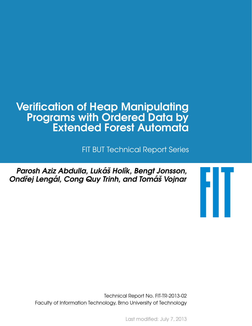# Verification of Heap Manipulating Programs with Ordered Data by Extended Forest Automata

FIT BUT Technical Report Series

Parosh Aziz Abdulla, Lukáš Holík, Bengt Jonsson, Ondřej Lengál, Cong Quy Trinh, and Tomáš Vojnar

> Technical Report No. FIT-TR-2013-02 Faculty of Information Technology, Brno University of Technology

> > Last modified: July 7, 2013

H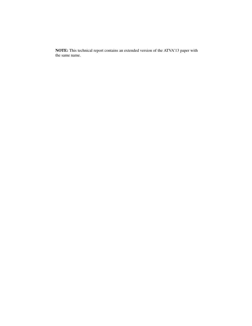NOTE: This technical report contains an extended version of the ATVA'13 paper with the same name.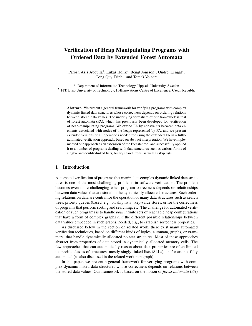## Verification of Heap Manipulating Programs with Ordered Data by Extended Forest Automata

Parosh Aziz Abdulla $^1$ , Lukáš Holík $^2$ , Bengt Jonsson $^1$ , Ondřej Lengál $^2$ , Cong Quy Trinh<sup>1</sup>, and Tomáš Vojnar<sup>2</sup>

<sup>1</sup> Department of Information Technology, Uppsala University, Sweden <sup>2</sup> FIT, Brno University of Technology, IT4Innovations Centre of Excellence, Czech Republic

Abstract. We present a general framework for verifying programs with complex dynamic linked data structures whose correctness depends on ordering relations between stored data values. The underlying formalism of our framework is that of forest automata (FA), which has previously been developed for verification of heap-manipulating programs. We extend FA by constraints between data elements associated with nodes of the heaps represented by FA, and we present extended versions of all operations needed for using the extended FA in a fullyautomated verification approach, based on abstract interpretation. We have implemented our approach as an extension of the Forester tool and successfully applied it to a number of programs dealing with data structures such as various forms of singly- and doubly-linked lists, binary search trees, as well as skip lists.

### 1 Introduction

Automated verification of programs that manipulate complex dynamic linked data structures is one of the most challenging problems in software verification. The problem becomes even more challenging when program correctness depends on relationships between data values that are stored in the dynamically allocated structures. Such ordering relations on data are central for the operation of many data structures such as search trees, priority queues (based, e.g., on skip lists), key-value stores, or for the correctness of programs that perform sorting and searching, etc. The challenge for automated verification of such programs is to handle *both* infinite sets of reachable heap configurations that have a form of complex graphs *and* the different possible relationships between data values embedded in such graphs, needed, e.g., to establish sortedness properties.

As discussed below in the section on related work, there exist many automated verification techniques, based on different kinds of logics, automata, graphs, or grammars, that handle dynamically allocated pointer structures. Most of these approaches abstract from properties of data stored in dynamically allocated memory cells. The few approaches that can automatically reason about data properties are often limited to specific classes of structures, mostly singly-linked lists (SLLs), and/or are not fully automated (as also discussed in the related work paragraph).

In this paper, we present a general framework for verifying programs with complex dynamic linked data structures whose correctness depends on relations between the stored data values. Our framework is based on the notion of *forest automata* (FA)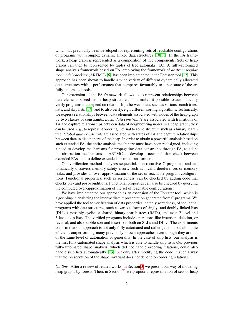which has previously been developed for representing sets of reachable configurations of programs with complex dynamic linked data structures [\[10](#page-18-0)[,11\]](#page-18-1). In the FA framework, a heap graph is represented as a composition of tree components. Sets of heap graphs can then be represented by tuples of tree automata (TA). A fully-automated shape analysis framework based on FA, employing the framework of *abstract regular tree model checking* (ARTMC) [\[6\]](#page-18-2), has been implemented in the Forester tool [\[13\]](#page-18-3). This approach has been shown to handle a wide variety of different dynamically allocated data structures with a performance that compares favourably to other state-of-the-art fully-automated tools.

Our extension of the FA framework allows us to represent relationships between data elements stored inside heap structures. This makes it possible to automatically verify programs that depend on relationships between data, such as various search trees, lists, and skip lists [\[17\]](#page-18-4), and to also verify, e.g., different sorting algorithms. Technically, we express relationships between data elements associated with nodes of the heap graph by two classes of constraints. *Local data constraints* are associated with transitions of TA and capture relationships between data of neighbouring nodes in a heap graph; they can be used, e.g., to represent ordering internal to some structure such as a binary search tree. *Global data constraints* are associated with states of TA and capture relationships between data in distant parts of the heap. In order to obtain a powerful analysis based on such extended FA, the entire analysis machinery must have been redesigned, including a need to develop mechanisms for propagating data constraints through FA, to adapt the abstraction mechanisms of ARTMC, to develop a new inclusion check between extended FAs, and to define extended abstract transformers.

Our verification method analyzes sequential, non-recursive C programs, and automatically discovers memory safety errors, such as invalid dereferences or memory leaks, and provides an over-approximation of the set of reachable program configurations. Functional properties, such as sortedness, can be checked by adding code that checks pre- and post-conditions. Functional properties can also be checked by querying the computed over-approximation of the set of reachable configurations.

We have implemented our approach as an extension of the Forester tool, which is a gcc plug-in analyzing the intermediate representation generated from C programs. We have applied the tool to verification of data properties, notably sortedness, of sequential programs with data structures, such as various forms of singly- and doubly-linked lists (DLLs), possibly cyclic or shared, binary search trees (BSTs), and even 2-level and 3-level skip lists. The verified programs include operations like insertion, deletion, or reversal, and also bubble-sort and insert-sort both on SLLs and DLLs. The experiments confirm that our approach is not only fully automated and rather general, but also quite efficient, outperforming many previously known approaches even though they are not of the same level of automation or generality. In the case of skip lists, our analysis is the first fully-automated shape analysis which is able to handle skip lists. Our previous fully-automated shape analysis, which did not handle ordering relations, could also handle skip lists automatically [\[13\]](#page-18-3), but only after modifying the code in such a way that the preservation of the shape invariant does not depend on ordering relations.

*Outline.* After a review of related works, in Section [3,](#page-5-0) we present our way of modeling heap graphs by forests. Then, in Section [4,](#page-7-0) we propose a representation of sets of heap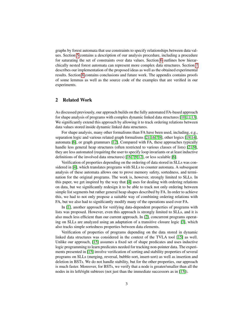graphs by forest automata that use constraints to specify relationships between data values. Section [5](#page-9-0) contains a description of our analysis procedure, including a procedure for saturating the set of constraints over data values. Section [6](#page-15-0) outlines how hierarchically nested forest automata can represent more complex data structures. Section [7](#page-16-0) describes our implementation of the proposed ideas as well as the obtained experimental results. Section [8](#page-17-0) contains conclusions and future work. The appendix contains proofs of some lemmas as well as the source code of the examples that are verified in our experiments.

#### 2 Related Work

As discussed previously, our approach builds on the fully automated FA-based approach for shape analysis of programs with complex dynamic linked data structures [\[10](#page-18-0)[,11](#page-18-1)[,13\]](#page-18-3). We significantly extend this approach by allowing it to track ordering relations between data values stored inside dynamic linked data structures.

For shape analysis, many other formalisms than FA have been used, including, e.g., separation logic and various related graph formalisms [\[21,](#page-18-5)[16,](#page-18-6)[7,](#page-18-7)[9\]](#page-18-8), other logics [\[19](#page-18-9)[,14\]](#page-18-10), automata [\[6\]](#page-18-2), or graph grammars [\[12\]](#page-18-11). Compared with FA, these approaches typically handle less general heap structures (often restricted to various classes of lists) [\[21](#page-18-5)[,9\]](#page-18-8), they are less automated (requiring the user to specify loop invariants or at least inductive definitions of the involved data structures) [\[16](#page-18-6)[,7](#page-18-7)[,9,](#page-18-8)[12\]](#page-18-11), or less scalable [\[6\]](#page-18-2).

Verification of properties depending on the ordering of data stored in SLLs was considered in [\[4\]](#page-18-12), which translates programs with SLLs to counter automata. A subsequent analysis of these automata allows one to prove memory safety, sortedness, and termination for the original programs. The work is, however, strongly limited to SLLs. In this paper, we get inspired by the way that [\[4\]](#page-18-12) uses for dealing with ordering relations on data, but we significantly redesign it to be able to track not only ordering between simple list segments but rather general heap shapes described by FA. In order to achieve this, we had to not only propose a suitable way of combining ordering relations with FA, but we also had to significantly modify many of the operations used over FA.

In [\[1\]](#page-17-1), another approach for verifying data-dependent properties of programs with lists was proposed. However, even this approach is strongly limited to SLLs, and it is also much less efficient than our current approach. In [\[2\]](#page-17-2), concurrent programs operating on SLLs are analyzed using an adaptation of a transitive closure logic [\[3\]](#page-18-13), which also tracks simple sortedness properties between data elements.

Verification of properties of programs depending on the data stored in dynamic linked data structures was considered in the context of the TVLA tool [\[15\]](#page-18-14) as well. Unlike our approach, [\[15\]](#page-18-14) assumes a fixed set of shape predicates and uses inductive logic programming to learn predicates needed for tracking non-pointer data. The experiments presented in [\[15\]](#page-18-14) involve verification of sorting and stability properties of several programs on SLLs (merging, reversal, bubble-sort, insert-sort) as well as insertion and deletion in BSTs. We do not handle stability, but for the other properties, our approach is much faster. Moreover, for BSTs, we verify that a node is greater/smaller than all the nodes in its left/right subtrees (not just than the immediate successors as in [\[15\]](#page-18-14)).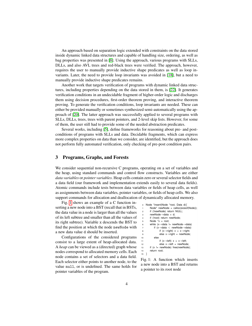An approach based on separation logic extended with constraints on the data stored inside dynamic linked data structures and capable of handling size, ordering, as well as bag properties was presented in [\[8\]](#page-18-15). Using the approach, various programs with SLLs, DLLs, and also AVL trees and red-black trees were verified. The approach, however, requires the user to manually provide inductive shape predicates as well as loop invariants. Later, the need to provide loop invariants was avoided in [\[18\]](#page-18-16), but a need to manually provide inductive shape predicates remains.

Another work that targets verification of programs with dynamic linked data structures, including properties depending on the data stored in them, is [\[22\]](#page-18-17). It generates verification conditions in an undecidable fragment of higher-order logic and discharges them using decision procedures, first-order theorem proving, and interactive theorem proving. To generate the verification conditions, loop invariants are needed. These can either be provided manually or sometimes synthesized semi-automatically using the approach of [\[20\]](#page-18-18). The latter approach was successfully applied to several programs with SLLs, DLLs, trees, trees with parent pointers, and 2-level skip lists. However, for some of them, the user still had to provide some of the needed abstraction predicates.

Several works, including [\[5\]](#page-18-19), define frameworks for reasoning about pre- and postconditions of programs with SLLs and data. Decidable fragments, which can express more complex properties on data than we consider, are identified, but the approach does not perform fully automated verification, only checking of pre-post condition pairs.

#### <span id="page-5-0"></span>3 Programs, Graphs, and Forests

We consider sequential non-recursive C programs, operating on a set of variables and the heap, using standard commands and control flow constructs. Variables are either *data variables* or *pointer variables*. Heap cells contain zero or several selector fields and a data field (our framework and implementation extends easily to several data fields). Atomic commands include tests between data variables or fields of heap cells, as well as assignments between data variables, pointer variables, or fields of heap cells. We also support commands for allocation and deallocation of dynamically allocated memory.

Fig. [1](#page-5-1) shows an example of a C function inserting a new node into a BST (recall that in BSTs, the data value in a node is larger than all the values of its left subtree and smaller than all the values of its right subtree). Variable x descends the BST to find the position at which the node newNode with a new data value d should be inserted.

Configurations of the considered programs consist to a large extent of heap-allocated data. A *heap* can be viewed as a (directed) graph whose nodes correspond to allocated memory cells. Each node contains a set of selectors and a data field. Each selector either points to another node, to the value null, or is undefined. The same holds for pointer variables of the program.

```
0 Node *insert(Node *root, Data d){
      Node* newNode = calloc(sizeof(Node));
2 if (!newNode) return NULL;
3 newNode→data = d;
       if (!root) return newNode;
      Node *x = root;
       while (x→data != newNode→data)
          7 if (x→data < newNode→data)
              if (x \rightarrow right) x = x \rightarrow right;
               else x \rightarrowright = newNode;
10 else
11 if (x \rightarrow left) x = x \rightarrow left;
12 else x→left = newNode;
13 if (x \leq -newNode) free(newNode);
       return root:
15 }
```
Fig. 1: A function which inserts a new node into a BST and returns a pointer to its root node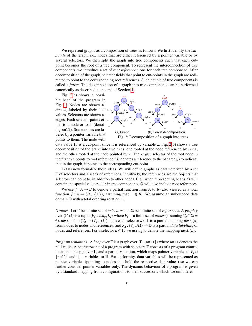We represent graphs as a composition of trees as follows. We first identify the *cutpoints* of the graph, i.e., nodes that are either referenced by a pointer variable or by several selectors. We then split the graph into tree components such that each cutpoint becomes the root of a tree component. To represent the interconnection of tree components, we introduce a set of *root references*, one for each tree component. After decomposition of the graph, selector fields that point to cut-points in the graph are redirected to point to the corresponding root references. Such a tuple of tree components is called a *forest*. The decomposition of a graph into tree components can be performed canonically as described at the end of Section [4.](#page-7-0)

circles, labeled by their data left edges. Each selector points ei- $_{\text{left}}$   $^{10}$   $_{\text{right}}$ Fig. [2\(](#page-6-0)a) shows a possible heap of the program in Fig. [1.](#page-5-1) Nodes are shown as values. Selectors are shown as ther to a node or to  $\perp$  (denoting null). Some nodes are labeled by a pointer variable that points to them. The node with

<span id="page-6-0"></span>

data value 15 is a cut-point since it is referenced by variable x. Fig. [2\(](#page-6-0)b) shows a tree decomposition of the graph into two trees, one rooted at the node referenced by root, and the other rooted at the node pointed by x. The right selector of the root node in the first tree points to root reference  $\overline{2}$  (*i* denotes a reference to the *i*-th tree  $t_i$ ) to indicate that in the graph, it points to the corresponding cut-point.

Let us now formalize these ideas. We will define graphs as parameterized by a set Γ of selectors and a set Ω of references. Intuitively, the references are the objects that selectors can point to, in addition to other nodes. E.g., when representing heaps,  $\Omega$  will contain the special value null; in tree components,  $\Omega$  will also include root references.

We use  $f : A \longrightarrow B$  to denote a partial function from A to B (also viewed as a total function  $f : A \to (B \cup \{\perp\})$ , assuming that  $\perp \notin B$ ). We assume an unbounded data domain  $\mathbb D$  with a total ordering relation  $\preceq$ .

*Graphs.* Let Γ be a finite set of *selectors* and Ω be a finite set of *references*. A *graph g* over  $\langle \Gamma, \Omega \rangle$  is a tuple  $\langle V_g, next_g, \lambda_g \rangle$  where  $V_g$  is a finite set of *nodes* (assuming  $V_g \cap \Omega$  = 0), next<sub>g</sub> :  $\Gamma \rightarrow (V_g \rightarrow (V_g \cup \Omega))$  maps each selector  $a \in \Gamma$  to a partial mapping next<sub>g</sub>(*a*) from nodes to nodes and references, and  $\lambda_g : (V_g \cup \Omega) \to \mathbb{D}$  is a partial *data labelling* of nodes and references. For a selector  $a \in \Gamma$ , we use  $a_g$  to denote the mapping next<sub>g</sub> $(a)$ .

*Program semantics.* A *heap* over  $\Gamma$  is a graph over  $\langle \Gamma, \{\text{null}\}\rangle$  where null denotes the null value. A *configuration* of a program with selectors Γ consists of a program control location, a heap *g* over Γ, and a partial valuation, which maps pointer variables to  $V_g \cup$ {null} and data variables to D. For uniformity, data variables will be represented as pointer variables (pointing to nodes that hold the respective data values) so we can further consider pointer variables only. The dynamic behaviour of a program is given by a standard mapping from configurations to their successors, which we omit here.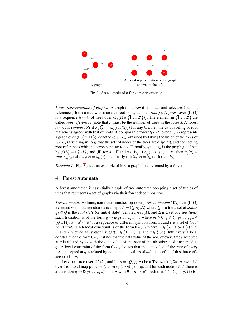<span id="page-7-1"></span>

Fig. 3: An example of a forest representation.

by (i)  $V_g = \bigcup_{i=1}^n V_{t_i}$ , and (ii) for  $a \in \Gamma$  and  $v \in V_{t_k}$ , if  $a_{t_k}(v) \in \{\overline{1}, \ldots, \overline{n}\}$  then  $a_g(v)$ *Forest representation of graphs.* A graph *t* is a *tree* if its nodes and selectors (i.e., not references) form a tree with a unique root node, denoted *root*(*t*). A *forest* over  $\langle \Gamma, \Omega \rangle$ is a sequence  $t_1 \cdots t_n$  of trees over  $\langle \Gamma, (\Omega \cup \{\overline{1}, \ldots, \overline{n}\}) \rangle$ . The element in  $\{\overline{1}, \ldots, \overline{n}\}$  are called *root references* (note that *n* must be the number of trees in the forest). A forest *t*<sub>1</sub> ···*t<sub>n</sub>* is *composable* if  $\lambda_{t_k}(\overline{j}) = \lambda_{t_j}(root(t_j))$  for any *k*, *j*, i.e., the data labeling of root references agrees with that of roots. A composable forest  $t_1 \cdots t_n$  over  $\langle \Gamma, \Omega \rangle$  represents a graph over  $\langle \Gamma, {\text{null}}\rangle$ , denoted  $\otimes t_1 \cdots t_n$ , obtained by taking the union of the trees of  $t_1 \cdots t_n$  (assuming w.l.o.g. that the sets of nodes of the trees are disjoint), and connecting root references with the corresponding roots. Formally,  $\otimes t_1 \cdots t_n$  is the graph *g* defined root( $t_{a_{t_k}(v)}$ ) else  $a_g(v) = a_{t_k}(v)$ , and finally (iii)  $\lambda_g(v) = \lambda_{t_k}(v)$  for  $v \in V_{t_k}$ .

*Example 1.* Fig. [3](#page-7-1) gives an example of how a graph is represented by a forest.

#### <span id="page-7-0"></span>4 Forest Automata

A forest automaton is essentially a tuple of tree automata accepting a set of tuples of trees that represents a set of graphs via their forest decomposition.

*Tree automata.* A (finite, non-deterministic, top-down) *tree automaton* (TA) over  $\langle \Gamma, \Omega \rangle$ extended with data constraints is a triple  $A = (Q, q_0, \Delta)$  where Q is a finite set of *states*, *q*<sub>0</sub> ∈ *Q* is the *root state* (or initial state), denoted *root*(*A*), and  $\Delta$  is a set of *transitions*. Each transition is of the form  $q \to \overline{a}(q_1,...,q_m)$ : *c* where  $m \geq 0$ ,  $q \in Q$ ,  $q_1,...,q_m \in$  $(Q \cup \Omega)$ ,  $\overline{a} = a^1 \cdots a^m$  is a sequence of different symbols from  $\Gamma$ , and *c* is a set of *local constraints*. Each local constraint is of the form  $0 \sim r_x$  *i* where  $\sim \in \{ \prec, \preceq, \succ, \succ \}$  (with  $=$  and  $\neq$  viewed as syntactic sugar),  $i \in \{1, \ldots, m\}$ , and  $x \in \{r, a\}$ . Intuitively, a local constraint of the form 0 ∼*rr i* states that the data value of the *root* of every tree *t* accepted at *q* is related by ∼ with the data value of the *root* of the *i*th subtree of *t* accepted at *q*<sub>*i*</sub>. A local constraint of the form 0 ∼*ra i* states that the data value of the *root* of every tree *t* accepted at *q* is related by ∼ to the data values of *all* nodes of the *i*-th subtree of *t* accepted at *q<sup>i</sup>* .

Let *t* be a tree over  $\langle \Gamma, \Omega \rangle$ , and let  $A = (Q, q_0, \Delta)$  be a TA over  $\langle \Gamma, \Omega \rangle$ . A *run* of *A* over *t* is a total map  $\rho: V_t \to Q$  where  $\rho(root(t)) = q_0$  and for each node  $v \in V_t$  there is a transition  $q \rightarrow \overline{a}(q_1,...,q_m)$ : *c* in  $\Delta$  with  $\overline{a} = a^1 \cdots a^m$  such that (1)  $\rho(v) = q$ , (2) for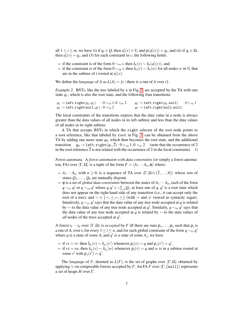all  $1 \le i \le m$ , we have (i) if  $q_i \in Q$ , then  $a_t^i(v) \in V_t$  and  $\rho(a_t^i(v)) = q_i$ , and (ii) if  $q_i \in \Omega$ , then  $a_t^i(v) = q_i$ , and (3) for each constraint in *c*, the following holds:

- $\rightarrow$  if the constraint is of the form 0 ∼*rr i*, then  $\lambda_t(v) \sim \lambda_t(a_t^i(v))$ , and
- $\sim$  if the constraint is of the form 0 ∼*ra i*, then  $\lambda_t(v) \sim \lambda_t(w)$  for all nodes *w* in *V<sub>t</sub>* that are in the subtree of *t* rooted at  $a_t^i(v)$ .

We define the *language* of *A* as  $L(A) = \{t \mid \text{there is a run of } A \text{ over } t\}.$ 

*Example 2.* BSTs, like the tree labeled by x in Fig. [2,](#page-6-0) are accepted by the TA with one state  $q_1$ , which is also the root state, and the following four transitions:

$$
\begin{array}{lll} q_1 \rightarrow \texttt{left}, \texttt{right}(q_1, q_1) & : 0 \succ_{ra} 1, 0 \prec_{ra} 2 & q_1 \rightarrow \texttt{left}, \texttt{right}(q_1, \texttt{null}) & : 0 \succ_{ra} 1 \\ q_1 \rightarrow \texttt{left}, \texttt{right}(\texttt{null}, q_1) & : 0 \prec_{ra} 2 & q_1 \rightarrow \texttt{left}, \texttt{right}(\texttt{null}, \texttt{null}) \end{array}
$$

The local constraints of the transitions express that the data value in a node is always greater than the data values of all nodes in its left subtree and less than the data values of all nodes in its right subtree.

A TA that accepts BSTs in which the right selector of the root node points to a root reference, like that labeled by root in Fig. [2,](#page-6-0) can be obtained from the above TA by adding one more state  $q_0$ , which then becomes the root state, and the additional transition  $q_0 \to \text{left}, \text{right}(q_1, \overline{2}) : 0 \succ_{ra} 1, 0 \prec_{rr} 2$  (note that the occurrence of 2) in the root reference  $\overline{2}$  is not related with the occurrence of 2 in the local constraint).  $\Box$ 

*Forest automata.* A *forest automaton with data constraints* (or simply a forest automaton, FA) over  $\langle \Gamma, \Omega \rangle$  is a tuple of the form  $F = \langle A_1 \cdots A_n, \varphi \rangle$  where:

- $-A_1 \cdots A_n$ , with  $n \geq 0$ , is a sequence of TA over  $\langle \Gamma, \Omega \uplus {\overline{1}, \ldots, \overline{n}} \rangle$  whose sets of states  $Q_1, \ldots, Q_n$  are mutually disjoint.
- $-$  φ is a set of *global data constraints* between the states of  $A_1 \cdots A_n$ , each of the form *q* ∼*rr q*<sup>'</sup> or *q* ∼*ra q*<sup>'</sup> where *q*,*q*<sup>'</sup> ∈ ∪<sub>*i*<sup>n</sup></sup>=1*Qi*, at least one of *q*, *q*<sup>'</sup> is a root state which</sub> does not appear on the right-hand side of any transition (i.e., it can accept only the root of a tree), and  $\sim \in \{\prec, \preceq, \succ, \succ\}$  (with = and  $\neq$  viewed as syntactic sugar). Intuitively,  $q \sim_{rr} q'$  says that the data value of any tree node accepted at  $q$  is related by  $\sim$  to the data value of any tree node accepted at *q*'. Similarly, *q*  $\sim$ <sub>ra</sub> *q*' says that the data value of any tree node accepted at *q* is related by ∼ to the data values of *all* nodes of the trees accepted at  $q'$ .

A forest  $t_1 \cdots t_n$  over  $\langle \Gamma, \Omega \rangle$  is *accepted* by *F* iff there are runs  $\rho_1, \ldots, \rho_n$  such that  $\rho_i$  is a run of  $A_i$  over  $t_i$  for every  $1 \le i \le n$ , and for each global constraint of the form  $q \sim_{rx} q'$ where *q* is a state of some  $A_i$  and  $q'$  is a state of some  $A_j$ , we have

- $\rightarrow$  if *rx* = *rr*, then  $\lambda_{t_i}(v) \sim \lambda_{t_j}(v')$  whenever  $\rho_i(v) = q$  and  $\rho_j(v') = q'$ ,
- $\lambda$  if *rx* = *ra*, then  $\lambda$ <sub>*t<sub>i</sub>*</sub>(*v*) ∼  $\lambda$ <sub>*i*</sub><sub>*j*</sub>(*w*) whenever  $ρ$ *<sub><i>i*</sub>(*v*) = *q* and *w* is in a subtree rooted at some *v*' with  $\rho_j(v') = q'$ .

The *language* of *F*, denoted as  $L(F)$ , is the set of graphs over  $\langle \Gamma, \Omega \rangle$  obtained by applying  $\otimes$  on composable forests accepted by *F*. An FA *F* over  $\langle \Gamma, \{\text{null}\}\rangle$  represents a set of heaps *H* over Γ.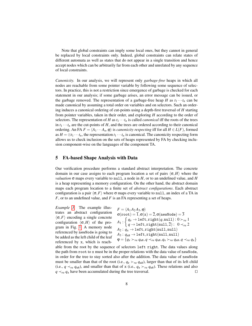Note that global constraints can imply some local ones, but they cannot in general be replaced by local constraints only. Indeed, global constraints can relate states of different automata as well as states that do not appear in a single transition and hence accept nodes which can be arbitrarily far from each other and unrelated by any sequence of local constraints.

*Canonicity.* In our analysis, we will represent only *garbage-free* heaps in which all nodes are reachable from some pointer variable by following some sequence of selectors. In practice, this is not a restriction since emergence of garbage is checked for each statement in our analysis; if some garbage arises, an error message can be issued, or the garbage removed. The representation of a garbage-free heap *H* as  $t_1 \cdots t_n$  can be made canonical by assuming a total order on variables and on selectors. Such an ordering induces a canonical ordering of cut-points using a depth-first traversal of *H* starting from pointer variables, taken in their order, and exploring *H* according to the order of selectors. The representation of *H* as  $t_1 \cdots t_n$  is called *canonical* iff the roots of the trees in  $t_1 \cdots t_n$  are the cut-points of *H*, and the trees are ordered according to their canonical ordering. An FA  $F = \langle A_1 \cdots A_n, \varphi \rangle$  is *canonicity respecting* iff for all  $H \in L(F)$ , formed as  $H = \otimes t_1 \cdots t_n$ , the representation  $t_1 \cdots t_n$  is canonical. The canonicity respecting form allows us to check inclusion on the sets of heaps represented by FA by checking inclusion component-wise on the languages of the component TA.

#### <span id="page-9-0"></span>5 FA-based Shape Analysis with Data

Our verification procedure performs a standard abstract interpretation. The concrete domain in our case assigns to each program location a set of pairs  $\langle \sigma, H \rangle$  where the *valuation*  $\sigma$  maps every variable to null, a node in *H*, or to an undefined value, and *H* is a heap representing a memory configuration. On the other hand, the abstract domain maps each program location to a finite set of *abstract configurations*. Each abstract configuration is a pair  $\langle \sigma, F \rangle$  where  $\sigma$  maps every variable to null, an index of a TA in *F*, or to an undefined value, and *F* is an FA representing a set of heaps.

<span id="page-9-1"></span>*Example [3.](#page-9-1)* The example illus-<br>*F* =  $\langle A_1 A_2 A_3, \varphi \rangle$  $\sigma(\texttt{root}) = \overline{1}, \sigma(\overline{x}) = \overline{2}, \sigma(\texttt{newNode}) = \overline{3}$  $A_1: \begin{cases} q_r \to \text{left}, \text{right}(q, \text{null}) : 0 \succ_{ra} 1 \\ q_r \to \text{left}, \text{right}(p, \text{null}) \end{cases}$  $q \rightarrow$  left,right(null, $\overline{2})$ : 0  $\prec_{ra}$  2  $A_2: q_x \rightarrow$  left, right(null,null)  $A_3: q_{nN} \rightarrow$  left, right(null,null)  $\varphi = \{q_{\rm r} \succ_{ra} q_{\rm nN}, q \prec_{ra} q_{\rm nN}, q_{\rm x} \succ_{ra} q_{\rm nN}, q \prec_{ra} q_{\rm x}\}$ trates an abstract configuration  $\langle \sigma, F \rangle$  encoding a single concrete configuration  $\langle \sigma, H \rangle$  of the program in Fig. [1.](#page-5-1) A memory node referenced by newNode is going to be added as the left child of the leaf referenced by x, which is reach-

able from the root by the sequence of selectors left right. The data values along the path from root to x must be in the proper relations with the data value of newNode, in order for the tree to stay sorted also after the addition. The data value of newNode must be smaller than that of the root (i.e.,  $q_r \succ_{ra} q_{nn}$ ), larger than that of its left child (i.e.,  $q \prec_{ra} q_{nn}$ ), and smaller than that of x (i.e.,  $q_x \succ_{ra} q_{nn}$ ). These relations and also  $q \prec_{ra} q_x$  have been accumulated during the tree traversal.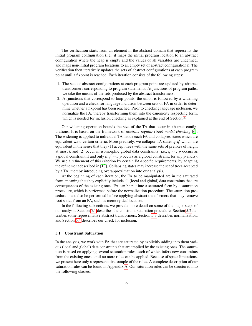The verification starts from an element in the abstract domain that represents the initial program configuration (i.e., it maps the initial program location to an abstract configuration where the heap is empty and the values of all variables are undefined, and maps non-initial program locations to an empty set of abstract configurations). The verification then iteratively updates the sets of abstract configurations at each program point until a fixpoint is reached. Each iteration consists of the following steps:

- 1. The sets of abstract configurations at each program point are updated by abstract transformers corresponding to program statements. At junctions of program paths, we take the unions of the sets produced by the abstract transformers.
- 2. At junctions that correspond to loop points, the union is followed by a widening operation and a check for language inclusion between sets of FA in order to determine whether a fixpoint has been reached. Prior to checking language inclusion, we normalize the FA, thereby transforming them into the canonicity respecting form, which is needed for inclusion checking as explained at the end of Section [4.](#page-7-0)

Our widening operation bounds the size of the TA that occur in abstract configurations. It is based on the framework of *abstract regular (tree) model checking* [\[6\]](#page-18-2). The widening is applied to individual TA inside each FA and collapses states which are equivalent w.r.t. certain criteria. More precisely, we collapse TA states  $q, q'$  which are equivalent in the sense that they (1) accept trees with the same sets of prefixes of height at most *k* and (2) occur in isomorphic global data constraints (i.e.,  $q \sim_{rx} p$  occurs as a global constraint if and only if  $q' \sim_{rx} p$  occurs as a global constraint, for any  $p$  and  $x$ ). We use a refinement of this criterion by certain FA-specific requirements, by adapting the refinement described in [\[13\]](#page-18-3). Collapsing states may increase the set of trees accepted by a TA, thereby introducing overapproximation into our analysis.

At the beginning of each iteration, the FA to be manipulated are in the saturated form, meaning that they explicitly include all (local and global) data constraints that are consequences of the existing ones. FA can be put into a saturated form by a saturation procedure, which is performed before the normalization procedure. The saturation procedure must also be performed before applying abstract transformers that may remove root states from an FA, such as memory deallocation.

In the following subsections, we provide more detail on some of the major steps of our analysis. Section [5.1](#page-10-0) describes the constraint saturation procedure, Section [5.2](#page-11-0) describes some representative abstract transformers, Section [5.3](#page-13-0) describes normalization, and Section [5.4](#page-13-1) describes our check for inclusion.

#### <span id="page-10-0"></span>5.1 Constraint Saturation

In the analysis, we work with FA that are saturated by explicitly adding into them various (local and global) data constraints that are implied by the existing ones. The saturation is based on applying several saturation rules, each of which infers new constraints from the existing ones, until no more rules can be applied. Because of space limitations, we present here only a representative sample of the rules. A complete description of our saturation rules can be found in Appendix [A.](#page-19-0) Our saturation rules can be structured into the following classes.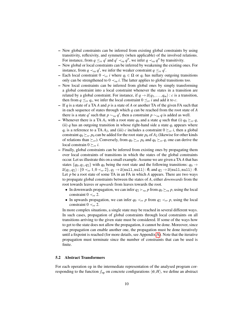- New global constraints can be inferred from existing global constraints by using transitivity, reflexivity, and symmetry (when applicable) of the involved relations. For instance, from  $q \leq_{rr} q'$  and  $q' \prec_{ra} q''$ , we infer  $q \prec_{ra} q''$  by transitivity.
- New global or local constraints can be inferred by weakening the existing ones. For instance, from  $q \prec_{ra} q'$ , we infer the weaker constraint  $q \preceq_{rr} q'$ .
- $\blacksquare$  Each local constraint 0  $\prec_{rr}$  *i* where *q<sub>i</sub>* ∈ Ω or *q<sub>i</sub>* has nullary outgoing transitions only can be strengthened to  $0 \prec_{ra} i$ . The latter applies to global transitions too.
- New local constraints can be inferred from global ones by simply transforming a global constraint into a local constraint whenever the states in a transition are related by a global constraint. For instance, if  $q \rightarrow \overline{a}(q_1,...,q_m)$ : *c* is a transition, then from  $q \leq_{rr} q_i$ , we infer the local constraint  $0 \leq_{rr} i$  and add it to *c*.
- If *q* is a state of a TA *A* and *p* is a state of *A* or another TA of the given FA such that in each sequence of states through which *q* can be reached from the root state of *A* there is a state *q*' such that  $p \sim_{ra} q'$ , then a constraint  $p \sim_{ra} q$  is added as well.
- Whenever there is a TA  $A_1$  with a root state  $q_0$  and a state  $q$  such that (i)  $q_0 \succeq_{rr} q$ , (ii) *q* has an outgoing transition in whose right-hand side a state  $q_i$  appears where *q*<sub>*i*</sub> is a reference to a TA *A*<sub>2</sub>, and (iii) *c* includes a constraint  $0 \succeq_{rr} i$ , then a global constraint  $q_0 \succeq_{rr} p_0$  can be added for the root state  $p_0$  of  $A_2$  (likewise for other kinds of relations than  $\geq_{rr}$ ). Conversely, from  $q_0 \geq_{rr} p_0$  and  $q_0 \geq_{rr} q$ , one can derive the local constrain  $0 \succeq_{rr} i$ .
- Finally, global constraints can be inferred from existing ones by propagating them over local constraints of transitions in which the states of the global constraints occur. Let us illustrate this on a small example. Assume we are given a TA *A* that has states  $\{q_0, q_1, q_2\}$  with  $q_0$  being the root state and the following transitions:  $q_0 \rightarrow$  $\overline{a}(q_1, q_2)$ :  $\{0 \prec_{rr} 1, 0 \prec_{rr} 2\}$ ,  $q_1 \rightarrow \overline{a}(\text{null}, \text{null})$ : 0, and  $q_2 \rightarrow \overline{a}(\text{null}, \text{null})$ : 0. Let *p* be a root state of some TA in an FA in which *A* appears. There are two ways to propagate global constraints between the states of *A*, either *downwards* from the root towards leaves or *upwards* from leaves towards the root.
	- In downwards propagation, we can infer  $q_2 \succ_{ra} p$  from  $q_0 \succeq_{ra} p$ , using the local constraint  $0 \prec_{rr} 2$ .
	- In upwards propagation, we can infer  $q_0 \prec_{rr} p$  from  $q_2 \prec_{rr} p$ , using the local constraint  $0 \prec_{rr} 2$ .

In more complex situations, a single state may be reached in several different ways. In such cases, propagation of global constraints through local constraints on all transitions arriving to the given state must be considered. If some of the ways how to get to the state does not allow the propagation, it cannot be done. Moreover, since one propagation can enable another one, the propagation must be done iteratively until a fixpoint is reached (for more details, see Appendix [A\)](#page-19-0). Note that the iterative propagation must terminate since the number of constraints that can be used is finite.

#### <span id="page-11-0"></span>5.2 Abstract Transformers

For each operation op in the intermediate representation of the analysed program corresponding to the function  $f_{op}$  on concrete configurations  $\langle \sigma, H \rangle$ , we define an abstract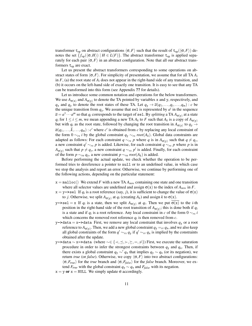transformer  $\tau_{op}$  on abstract configurations  $\langle \sigma, F \rangle$  such that the result of  $\tau_{op}(\langle \sigma, F \rangle)$  denotes the set  $\{f_{op}(\langle \sigma, H \rangle) | H \in L(F)\}$ . The abstract transformer  $\tau_{op}$  is applied separately for each pair  $\langle \sigma, F \rangle$  in an abstract configuration. Note that all our abstract transformers  $\tau_{op}$  are exact.

Let us present the abstract transformers corresponding to some operations on abstract states of form  $\langle \sigma, F \rangle$ . For simplicity of presentation, we assume that for all TA  $A_i$ in  $F$ , (a) the root state of  $A_i$  does not appear in the right-hand side of any transition, and (b) it occurs on the left-hand side of exactly one transition. It is easy to see that any TA can be transformed into this form (see Appendix ?? for details).

Let us introduce some common notation and operations for the below transformers. We use  $A_{\sigma(x)}$  and  $A_{\sigma(y)}$  to denote the TA pointed by variables x and y, respectively, and *q*<sub>x</sub> and *q*<sub>y</sub> to denote the root states of these TA. Let  $q_y \rightarrow \overline{a}(q_1,...,q_i,...,q_m)$ : *c* be the unique transition from  $q_y$ . We assume that sel is represented by  $a^i$  in the sequence  $\overline{a} = a^1 \cdots a^m$  so that  $q_i$  corresponds to the target of sel. By *splitting* a TA  $A_{\sigma(y)}$  at a state *q*<sub>*i*</sub> for  $1 \le i \le m$ , we mean appending a new TA  $A_k$  to F such that  $A_k$  is a copy of  $A_{\sigma(y)}$ but with  $q_i$  as the root state, followed by changing the root transition in  $A_{\sigma(y)}$  to  $q_y \rightarrow$  $\overline{a}(q_1,...,\overline{k},...,q_m)$ : *c*' where *c*' is obtained from *c* by replacing any local constraint of the form  $0 \sim_{rx} i$  by the global constraint  $q_y \sim_{rx} root(A_k)$ . Global data constraints are adapted as follows: For each constraint  $q \sim_{rx} p$  where *q* is in  $A_{\sigma(y)}$  such that  $q \neq q_y$ , a new constraint  $q' \sim_{rx} p$  is added. Likewise, for each constraint  $q \sim_{rx} p$  where p is in  $A_{\sigma(y)}$  such that  $p \neq q_y$ , a new constraint  $q \sim_{rx} p'$  is added. Finally, for each constraint of the form  $p \sim_{ra} q_y$ , a new constraint  $p \sim_{ra} root(A_k)$  is added.

Before performing the actual update, we check whether the operation to be performed tries to dereference a pointer to null or to an undefined value, in which case we stop the analysis and report an error. Otherwise, we continue by performing one of the following actions, depending on the particular statement:

- $x = \text{malloc}()$  We extend *F* with a new TA  $A_{new}$  containing one state and one transition where all selector values are undefined and assign  $\sigma(x)$  to the index of  $A_{new}$  in *F*.
- $x = y \rightarrow \text{sel}$  If  $q_i$  is a root reference (say, *j*), it is sufficient to change the value of  $\sigma(x)$ to *j*. Otherwise, we split  $A_{\sigma(v)}$  at  $q_i$  (creating  $A_k$ ) and assign  $k$  to  $\sigma(x)$ .
- y->sel = x If  $q_i$  is a state, then we split  $A_{\sigma(y)}$  at  $q_i$ . Then we put  $\sigma(x)$  to the *i*-th position in the right-hand side of the root transition of  $A_{\sigma(y)}$ ; this is done both if  $q_i$ is a state and if  $q_i$  is a root reference. Any local constraint in *c* of the form  $0 \sim_{rx} i$ which concerns the removed root reference  $q_i$  is then removed from  $c$ .
- **y**->data = x->data First, we remove any local constraint that involves  $q<sub>y</sub>$  or a root reference to  $A_{\sigma(y)}$ . Then, we add a new global constraint  $q_y =_{rr} q_x$ , and we also keep all global constraints of the form  $q' \sim_{rx} q_y$  if  $q' \sim_{rr} q_x$  is implied by the constraints obtained after the update.
- y**->**data ∼ x**->**data (where ~∈ {≺, ≺, ≻, ≻, ←, ≠}) First, we execute the saturation procedure in order to infer the strongest constraints between  $q<sub>y</sub>$  and  $q<sub>x</sub>$ . Then, if there exists a global constraint  $q_y \sim q_x$  that implies  $q_y \sim q_x$  (or its negation), we return *true* (or *false*). Otherwise, we copy  $\langle \sigma, F \rangle$  into two abstract configurations:  $\langle \sigma, F_{true} \rangle$  for the *true* branch and  $\langle \sigma, F_{false} \rangle$  for the *false* branch. Moreover, we extend  $F_{true}$  with the global constraint  $q_y \sim q_x$  and  $F_{false}$  with its negation.
- $x = y$  or  $x = NULL$  We simply update  $\sigma$  accordingly.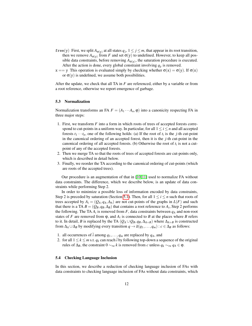- free(y) First, we split  $A_{\sigma(y)}$  at all states  $q_j$ ,  $1 \le j \le m$ , that appear in its root transition, then we remove  $A_{\sigma(y)}$  from  $F$  and set  $\sigma(y)$  to undefined. However, to keep all possible data constraints, before removing  $A_{\sigma(y)}$ , the saturation procedure is executed. After the action is done, every global constraint involving  $q<sub>y</sub>$  is removed.
- $x == y$  This operation is evaluated simply by checking whether  $\sigma(x) = \sigma(y)$ . If  $\sigma(x)$ or  $\sigma(y)$  is undefined, we assume both possibilities.

After the update, we check that all TA in *F* are referenced, either by a variable or from a root reference, otherwise we report emergence of garbage.

#### <span id="page-13-0"></span>5.3 Normalization

Normalization transforms an FA  $F = (A_1 \cdots A_n, \varphi)$  into a canonicity respecting FA in three major steps:

- 1. First, we transform *F* into a form in which roots of trees of accepted forests correspond to cut-points in a uniform way. In particular, for all  $1 \le i \le n$  and all accepted forests  $t_1 \cdots t_n$ , one of the following holds: (a) If the root of  $t_i$  is the *j*-th cut-point in the canonical ordering of an accepted forest, then it is the *j*-th cut-point in the canonical ordering of all accepted forests. (b) Otherwise the root of *t<sup>i</sup>* is not a cutpoint of any of the accepted forests.
- 2. Then we merge TA so that the roots of trees of accepted forests are cut-points only, which is described in detail below.
- 3. Finally, we reorder the TA according to the canonical ordering of cut-points (which are roots of the accepted trees).

Our procedure is an augmentation of that in [\[10](#page-18-0)[,11\]](#page-18-1) used to normalize FA without data constraints. The difference, which we describe below, is an update of data constraints while performing Step 2.

In order to minimize a possible loss of information encoded by data constraints, Step 2 is preceded by saturation (Section [5.1\)](#page-10-0). Then, for all  $1 \le i \le n$  such that roots of trees accepted by  $A_i = (Q_A, q_A, \Delta_A)$  are not cut-points of the graphs in  $L(F)$  and such that there is a TA  $B = (Q_B, q_B, \Delta_B)$  that contains a root reference to  $A_i$ , Step 2 performs the following. The TA  $A_i$  is removed from  $F$ , data constraints between  $q_A$  and non-root states of *F* are removed from  $\varphi$ , and  $A_i$  is connected to *B* at the places where *B* refers to it. In detail, *B* is replaced by the TA  $(Q_A \cup Q_B, q_B, \Delta_{A+B})$  where  $\Delta_{A+B}$  is constructed from  $\Delta_A \cup \Delta_B$  by modifying every transition  $q \to \overline{a}(q_1,\ldots,q_m)$ :  $c \in \Delta_B$  as follows:

- 1. all occurrences of  $\overline{i}$  among  $q_1, \ldots, q_m$  are replaced by  $q_A$ , and
- 2. for all  $1 \leq k \leq m$  s.t.  $q_k$  can reach *i* by following top-down a sequence of the original rules of ∆*B*, the constraint 0 ∼*ra k* is removed from *c* unless *q<sup>k</sup>* ∼*ra q<sup>A</sup>* ∈ ϕ.

#### <span id="page-13-1"></span>5.4 Checking Language Inclusion

In this section, we describe a reduction of checking language inclusion of FAs with data constraints to checking language inclusion of FAs without data constraints, which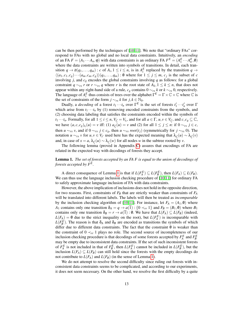can be then performed by the techniques of [\[10](#page-18-0)[,11\]](#page-18-1). We note that "ordinary FAs" correspond to FAs with no global and no local data constraints. Intuitively, an *encoding* of an FA  $F = (A_1 \cdots A_n, \varphi)$  with data constraints is an ordinary FA  $F^E = (A_1^E \cdots A_n^E, \varphi)$ where the data constraints are written into symbols of transitions. In detail, each transition  $q \rightarrow \overline{a}(q_1,...,q_m)$ : *c* of  $A_i, 1 \le i \le n$ , is in  $A_i^E$  replaced by the transition  $q \rightarrow$  $\langle (a_1, c_1, c_g) \cdots (a_m, c_m, c_g) \rangle (q_1, \ldots, q_m)$ : 0 where for  $1 \le j \le m$ ,  $c_j$  is the subset of *c* involving *j*, and  $c_g$  encodes the global constraints involving *q* as follows: for a global constraint *q* ∼*rx r* or *r* ∼*rx q* where *r* is the root state of  $A_k, 1 \leq k \leq n$ , that does not appear within any right-hand side of a rule,  $c_g$  contains  $0 \sim_{rx} k$  or  $k \sim_{rx} 0$ , respectively. The language of  $A_i^E$  thus consists of trees over the alphabet  $\Gamma^E = \Gamma \times \mathbb{C} \times \mathbb{C}$  where  $\mathbb{C}$  is the set of constraints of the form  $j \sim r x$  *k* for  $j, k \in \mathbb{N}_0$ .

Dually, a *decoding* of a forest  $t_1 \cdots t_n$  over  $\Gamma^E$  is the set of forests  $t'_1 \cdots t'_n$  over  $\Gamma$ which arise from  $t_1 \cdots t_n$  by (1) removing encoded constraints from the symbols, and (2) choosing data labeling that satisfies the constraints encoded within the symbols of  $t_1 \cdots t_n$ . Formally, for all  $1 \le i \le n$ ,  $V_{t'_i} = V_{t_i}$ , and for all  $a \in \Gamma$ ,  $u, v \in V_{t'_i}$ , and  $c, c_g \subseteq \mathbb{C}$ , we have  $(a, c, c_g)_{t_i}(u) = v$  iff: (1)  $a_{t'_i}(u) = v$  and (2) for all  $1 \le j \le n$ : if  $0 \sim_{rx} j \in c$ , then *u* ∼*rx v*, and if  $0 \sim r$ *x*  $j \in c_g$ , then *u* ∼*rx root*(*t<sub>j</sub>*) (symmetrically for  $j \sim r$ *x* 0). The notation  $u \sim_{rx} v$  for  $u, v \in V_{t'}$  used here has the expected meaning that  $\lambda_{t_i'}(u) \sim \lambda_{t_i'}(v)$ and, in case of  $x = a$ ,  $\lambda_{t_i'}(u) \sim \lambda_{t_i'}(w)$  for all nodes *w* in the subtree rooted by *v*.

The following lemma (proved in Appendix [C\)](#page-21-0) assures that encodings of FA are related in the expected way with decodings of forests they accept.

#### <span id="page-14-0"></span>Lemma 1. *The set of forests accepted by an FA F is equal to the union of decodings of forests accepted by F<sup>E</sup> .*

A direct consequence of Lemma [1](#page-14-0) is that if  $L(F_A^E) \subseteq L(F_B^E)$ , then  $L(F_A) \subseteq L(F_B)$ . We can thus use the language inclusion checking procedure of [\[10,](#page-18-0)[11\]](#page-18-1) for ordinary FA to safely approximate language inclusion of FA with data constraints.

However, the above implication of inclusions does not hold in the opposite direction, for two reasons. First, constraints of *F<sup>B</sup>* that are strictly weaker than constraints of *F<sup>A</sup>* will be translated into different labels. The labels will then be treated as *incomparable* by the inclusion checking algorithm of [\[10,](#page-18-0)[11\]](#page-18-1). For instance, let  $F_A = (A_1, \mathbf{0})$  where *A*<sub>1</sub> contains only one transition  $\delta_A = q \rightarrow a(1)$ :  $\{0 \prec_{rr} 1\}$  and  $F_B = (B_1, \emptyset)$  where  $B_1$ contains only one transition  $\delta_B = r \to a(\overline{1}) : 0$ . We have that  $L(F_A) \subseteq L(F_B)$  (indeed,  $L(F_A) = \emptyset$  due to the strict inequality on the root), but  $L(F_A^E)$  is incomparable with  $L(F_B^E)$ . The reason is that  $\delta_A$  and  $\delta_B$  are encoded as transitions the symbols of which differ due to different data constraints. The fact that the constraint  $\emptyset$  is weaker than the constraint of  $0 \prec_{rr} 1$  plays no role. The second source of incompleteness of our inclusion checking procedure is that decodings of some forests accepted by  $F_A^E$  and  $F_B^E$ may be empty due to inconsistent data constraints. If the set of such inconsistent forests of  $F_A^E$  is not included in that of  $F_B^E$ , then  $L(F_A^E)$  cannot be included in  $L(F_B^E)$ , but the inclusion  $L(F_A) \subseteq L(F_B)$  can still hold since the forests with the empty decodings do not contribute to  $L(F_A)$  and  $L(F_B)$  (in the sense of Lemma [1\)](#page-14-0).

We do not attempt to resolve the second difficulty since ruling out forests with inconsistent data constraints seems to be complicated, and according to our experiments, it does not seem necessary. On the other hand, we resolve the first difficulty by a quite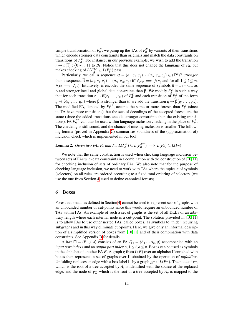simple transformation of  $F_B^E$ : we pump up the TAs of  $F_B^E$  by variants of their transitions which encode stronger data constraints than originals and match the data constraints on transitions of  $F_A^E$ . For instance, in our previous example, we wish to add the transition  $r \rightarrow a(\overline{1})$ : { $0 \prec_{rr} 1$ } to  $B_1$ . Notice that this does not change the language of  $F_B$ , but makes checking of  $L(F_A^E) \subseteq L(F_B^E)$  pass.

Particularly, we call a sequence  $\overline{\alpha} = (a_1, c_1, c_g) \cdots (a_m, c_m, c_g) \in (\Gamma^E)^m$  *stronger* than a sequence  $\overline{\beta} = (a_1, c'_1, c'_g) \cdots (a_m, c'_m, c'_g)$  iff  $\bigwedge c_g \implies \bigwedge c'_g$  and for all  $1 \le i \le m$ ,  $\bigwedge c_i \implies \bigwedge c'_i$ . Intuitively,  $\overline{\alpha}$  encodes the same sequence of symbols  $\overline{a} = a_1 \cdots a_m$  as  $\bar{\beta}$  and stronger local and global data constraints than  $\bar{\beta}$ . We modify  $F_{\beta}^{E}$  in such a way that for each transition  $r \to \overline{\alpha}(r_1, \ldots, r_m)$  of  $F_B^E$  and each transition of  $F_A^E$  of the form  $q \rightarrow \overline{\beta}(q_1,\ldots,q_m)$  where  $\overline{\beta}$  is stronger than  $\overline{\alpha}$ , we add the transition  $q \rightarrow \overline{\beta}(q_1,\ldots,q_m)$ . The modified FA, denoted by  $F_B^{E^+}$ , accepts the same or more forests than  $F_B^E$  (since its TA have more transitions), but the sets of decodings of the accepted forests are the same (since the added transitions encode stronger constraints than the existing transitions). FA  $F_B^{E^+}$  can thus be used within language inclusion checking in the place of  $F_B^E$ . The checking is still sound, and the chance of missing inclusion is smaller. The following lemma (proved in Appendix [C\)](#page-21-0) summarises soundness of the (approximation of) inclusion check which is implemented in our tool.

<span id="page-15-1"></span>**Lemma 2.** *Given two FAs F<sub><i>A*</sub> and F<sub>B</sub>,  $L(F_A^E) \subseteq L(F_B^{E^+}) \implies L(F_A) \subseteq L(F_B)$ 

We note that the same construction is used when checking language inclusion between sets of FAs with data constraints in a combination with the construction of [\[10](#page-18-0)[,11\]](#page-18-1) for checking inclusion of sets of ordinary FAs. We also note that for the purpose of checking language inclusion, we need to work with TAs where the tuples  $\bar{a}$  of symbols (selectors) on all rules are ordered according to a fixed total ordering of selectors (we use the one from Section [4,](#page-7-0) used to define canonical forests).

#### <span id="page-15-0"></span>6 Boxes

Forest automata, as defined in Section [4,](#page-7-0) cannot be used to represent sets of graphs with an unbounded number of cut-points since this would require an unbounded number of TAs within FAs. An example of such a set of graphs is the set of all DLLs of an arbitrary length where each internal node is a cut-point. The solution provided in [\[10](#page-18-0)[,11\]](#page-18-1) is to allow FAs to use other nested FAs, called boxes, as symbols to "hide" recurring subgraphs and in this way eliminate cut-points. Here, we give only an informal description of a simplified version of boxes from [\[10,](#page-18-0)[11\]](#page-18-1) and of their combination with data constraints. See Appendix [B](#page-20-0) for details.

A *box*  $\Box = \langle F_{\Box}, i, o \rangle$  consists of an FA  $F_{\Box} = \langle A_1 \cdots A_n, \varphi \rangle$  accompanied with an *input port index i* and an *output port index o*,  $1 \le i, o \le n$ . Boxes can be used as symbols in the alphabet of another FA F. A graph *g* from  $L(F)$  over an alphabet  $\Gamma$  enriched with boxes then represents a set of graphs over Γ obtained by the operation of *unfolding*. Unfolding replaces an edge with a box label  $\Box$  by a graph *g* $\Box$  *E L*(*F* $\Box$ ). The node of *g* $\Box$ which is the root of a tree accepted by  $A_i$  is identified with the source of the replaced edge, and the node of  $g_{\Box}$  which is the root of a tree accepted by  $A_o$  is mapped to the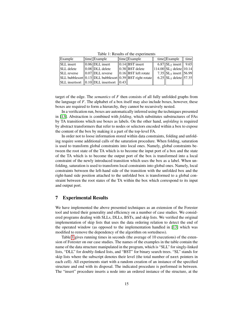Table 1: Results of the experiments

<span id="page-16-1"></span>

| Example            | $\Vert$ time $\Vert$ Example                                                    | time Example                                                                                 | time  Example $\parallel$             | time |
|--------------------|---------------------------------------------------------------------------------|----------------------------------------------------------------------------------------------|---------------------------------------|------|
| <b>SLL</b> insert  | $\overline{0.06}$ DLL insert                                                    | $\overline{0.14}$ BST insert                                                                 | 6.87 SL <sub>2</sub> insert   9.65    |      |
| <b>SLL</b> delete  | $  0.08  $ DLL delete                                                           | $\left  0.38 \right $ BST delete                                                             | $  114.00  SL2$ delete $  10.14  $    |      |
| <b>SLL</b> reverse | $  0.07  $ DLL reverse                                                          | $  0.16  $ BST left rotate                                                                   | 7.35 SL <sub>3</sub> insert $ 56.99 $ |      |
|                    |                                                                                 | $ SLL \text{ bubblesort}   0.13   DLL \text{ bubblesort}   0.39   BST \text{ right rotate} $ | 6.25 SL <sub>3</sub> delete 57.35     |      |
|                    | $\vert$ SLL insertsort $\vert$ 0.10 $\vert$ DLL insertsort $\vert$ 0.43 $\vert$ |                                                                                              |                                       |      |

target of the edge. The *semantics* of *F* then consists of all fully unfolded graphs from the language of *F*. The alphabet of a box itself may also include boxes, however, these boxes are required to form a hierarchy, they cannot be recursively nested.

In a verification run, boxes are automatically inferred using the techniques presented in [\[13\]](#page-18-3). Abstraction is combined with *folding*, which substitutes substructures of FAs by TA transitions which use boxes as labels. On the other hand, *unfolding* is required by abstract transformers that refer to nodes or selectors encoded within a box to expose the content of the box by making it a part of the top-level FA.

In order not to loose information stored within data constraints, folding and unfolding require some additional calls of the saturation procedure. When folding, saturation is used to transform global constraints into local ones. Namely, global constraints between the root state of the TA which is to become the input port of a box and the state of the TA which is to become the output port of the box is transformed into a local constraint of the newly introduced transition which uses the box as a label. When unfolding, saturation is used to transform local constraints into global ones. Namely, local constraints between the left-hand side of the transition with the unfolded box and the right-hand side position attached to the unfolded box is transformed to a global constraint between the root states of the TA within the box which correspond to its input and output port.

#### <span id="page-16-0"></span>7 Experimental Results

We have implemented the above presented techniques as an extension of the Forester tool and tested their generality and efficiency on a number of case studies. We considered programs dealing with SLLs, DLLs, BSTs, and skip lists. We verified the original implementation of skip lists that uses the data ordering relation to detect the end of the operated window (as opposed to the implementation handled in [\[13\]](#page-18-3) which was modified to remove the dependency of the algorithm on sortedness).

Table [1](#page-16-1) gives running times in seconds (the average of 10 executions) of the extension of Forester on our case studies. The names of the examples in the table contain the name of the data structure manipulated in the program, which is "SLL" for singly-linked lists, "DLL" for doubly-linked lists, and "BST" for binary search trees. "SL" stands for skip lists where the subscript denotes their level (the total number of next pointers in each cell). All experiments start with a random creation of an instance of the specified structure and end with its disposal. The indicated procedure is performed in between. The "insert" procedure inserts a node into an ordered instance of the structure, at the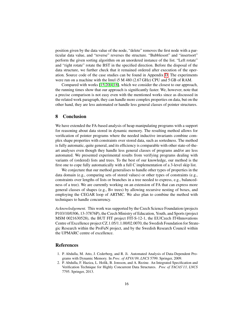position given by the data value of the node, "delete" removes the first node with a particular data value, and "reverse" reverses the structure. "Bubblesort" and "insertsort" perform the given sorting algorithm on an unordered instance of the list. "Left rotate" and "right rotate" rotate the BST in the specified direction. Before the disposal of the data structure, we further check that it remained ordered after execution of the operation. Source code of the case studies can be found in Appendix [D.](#page-22-0) The experiments were run on a machine with the Intel i5 M 480 (2.67 GHz) CPU and 5 GB of RAM.

Compared with works [\[15](#page-18-14)[,20,](#page-18-18)[4](#page-18-12)[,18\]](#page-18-16), which we consider the closest to our approach, the running times show that our approach is significantly faster. We, however, note that a precise comparison is not easy even with the mentioned works since as discussed in the related work paragraph, they can handle more complex properties on data, but on the other hand, they are less automated or handle less general classes of pointer structures.

#### <span id="page-17-0"></span>8 Conclusion

We have extended the FA-based analysis of heap manipulating programs with a support for reasoning about data stored in dynamic memory. The resulting method allows for verification of pointer programs where the needed inductive invariants combine complex shape properties with constraints over stored data, such as sortedness. The method is fully automatic, quite general, and its efficiency is comparable with other state-of-theart analyses even though they handle less general classes of programs and/or are less automated. We presented experimental results from verifying programs dealing with variants of (ordered) lists and trees. To the best of our knowledge, our method is the first one to cope fully automatically with a full C implementation of a 3-level skip list.

We conjecture that our method generalises to handle other types of properties in the data domain (e.g., comparing sets of stored values) or other types of constraints (e.g., constraints over lengths of lists or branches in a tree needed to express, e.g., balancedness of a tree). We are currently working on an extension of FA that can express more general classes of shapes (e.g., B+ trees) by allowing recursive nesting of boxes, and employing the CEGAR loop of ARTMC. We also plan to combine the method with techniques to handle concurrency.

*Acknowledgement.* This work was supported by the Czech Science Foundation (projects P103/10/0306, 13-37876P), the Czech Ministry of Education, Youth, and Sports (project MSM 0021630528), the BUT FIT project FIT-S-12-1, the EU/Czech IT4Innovations Centre of Excellence project CZ.1.05/1.1.00/02.0070, the Swedish Foundation for Strategic Research within the ProFuN project, and by the Swedish Research Council within the UPMARC centre of excellence.

#### References

- <span id="page-17-1"></span>1. P. Abdulla, M. Atto, J. Cederberg, and R. Ji. Automated Analysis of Data-Dependent Programs with Dynamic Memory. In *Proc. of ATVA'09*, *LNCS* 5799. Springer, 2009.
- <span id="page-17-2"></span>2. P. Abdulla, F. Haziza, L. Holík, B. Jonsson, and A. Rezine. An Integrated Specification and Verification Technique for Highly Concurrent Data Structures. *Proc of TACAS'13*, *LNCS* 7795. Springer, 2013.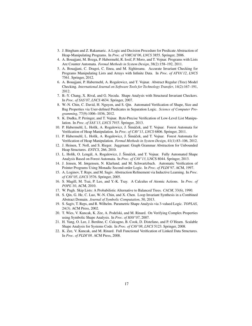- <span id="page-18-13"></span>3. J. Bingham and Z. Rakamaric. A Logic and Decision Procedure for Predicate Abstraction of Heap-Manipulating Programs. In *Proc. of VMCAI'06*, *LNCS* 3855. Springer, 2006.
- <span id="page-18-12"></span>4. A. Bouajjani, M. Bozga, P. Habermehl, R. Iosif, P. Moro, and T. Vojnar. Programs with Lists Are Counter Automata. *Formal Methods in System Design*, 38(2):158–192, 2011.
- <span id="page-18-19"></span>5. A. Bouajjani, C. Dragoi, C. Enea, and M. Sighireanu. Accurate Invariant Checking for Programs Manipulating Lists and Arrays with Infinite Data. In *Proc. of ATVA'12*, *LNCS* 7561. Springer, 2012.
- <span id="page-18-2"></span>6. A. Bouajjani, P. Habermehl, A. Rogalewicz, and T. Vojnar. Abstract Regular (Tree) Model Checking. *International Journal on Software Tools for Technology Transfer*, 14(2):167–191, 2012.
- <span id="page-18-7"></span>7. B.-Y. Chang, X. Rival, and G. Necula. Shape Analysis with Structural Invariant Checkers. In *Proc. of SAS'07*, *LNCS* 4634. Springer, 2007.
- <span id="page-18-15"></span>8. W.-N. Chin, C. David, H. Nguyen, and S. Qin. Automated Verification of Shape, Size and Bag Properties via User-defined Predicates in Separation Logic. *Science of Computer Programming*, 77(9):1006–1036, 2012.
- <span id="page-18-8"></span>9. K. Dudka, P. Peringer, and T. Vojnar. Byte-Precise Verification of Low-Level List Manipulation. In *Proc. of SAS'13*, *LNCS 7935*. Springer, 2013.
- <span id="page-18-0"></span>10. P. Habermehl, L. Holík, A. Rogalewicz, J. Šimáček, and T. Vojnar. Forest Automata for Verification of Heap Manipulation. In *Proc. of CAV'11*, *LNCS* 6806. Springer, 2011.
- <span id="page-18-1"></span>11. P. Habermehl, L. Holík, A. Rogalewicz, J. Šimáček, and T. Vojnar. Forest Automata for Verification of Heap Manipulation. *Formal Methods in System Design*, 41(1):83–106, 2012.
- <span id="page-18-11"></span>12. J. Heinen, T. Noll, and S. Rieger. Juggrnaut: Graph Grammar Abstraction for Unbounded Heap Structures. *ENTCS*, 266, 2010.
- <span id="page-18-3"></span>13. L. Holík, O. Lengál, A. Rogalewicz, J. Šimáček, and T. Vojnar. Fully Automated Shape Analysis Based on Forest Automata. In *Proc. of CAV'13*, LNCS 8044. Springer, 2013.
- <span id="page-18-10"></span>14. J. Jensen, M. Jørgensen, N. Klarlund, and M. Schwartzbach. Automatic Verification of Pointer Programs Using Monadic Second-order Logic. In *Proc. of PLDI'97*. ACM, 1997.
- <span id="page-18-14"></span>15. A. Loginov, T. Reps, and M. Sagiv. Abstraction Refinement via Inductive Learning. In *Proc. of CAV'05*, *LNCS* 3576. Springer, 2005.
- <span id="page-18-6"></span>16. S. Magill, M. Tsai, P. Lee, and Y.-K. Tsay. A Calculus of Atomic Actions. In *Proc. of POPL'10*, ACM, 2010.
- <span id="page-18-4"></span>17. W. Pugh. Skip Lists: A Probabilistic Alternative to Balanced Trees. *CACM*, 33(6), 1990.
- <span id="page-18-16"></span>18. S. Qin, G. He, C. Luo, W.-N. Chin, and X. Chen. Loop Invariant Synthesis in a Combined Abstract Domain. *Journal of Symbolic Computation*, 50, 2013.
- <span id="page-18-9"></span>19. S. Sagiv, T. Reps, and R. Wilhelm. Parametric Shape Analysis via 3-valued Logic. *TOPLAS*, 24(3). ACM Press, 2002.
- <span id="page-18-18"></span>20. T. Wies, V. Kuncak, K. Zee, A. Podelski, and M. Rinard. On Verifying Complex Properties using Symbolic Shape Analysis. In *Proc. of HAV'07*, 2007.
- <span id="page-18-5"></span>21. H. Yang, O. Lee, J. Berdine, C. Calcagno, B. Cook, D. Distefano, and P. O'Hearn. Scalable Shape Analysis for Systems Code. In *Proc. of CAV'08*, *LNCS* 5123. Springer, 2008.
- <span id="page-18-17"></span>22. K. Zee, V. Kuncak, and M. Rinard. Full Functional Verification of Linked Data Structures. In *Proc. of PLDI'08*. ACM Press, 2008.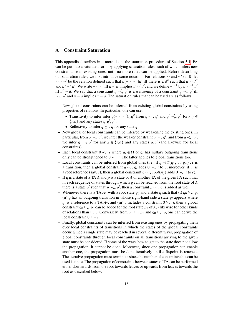#### <span id="page-19-0"></span>A Constraint Saturation

This appendix describes in a more detail the saturation procedure of Section [5.1.](#page-10-0) FA can be put into a saturated form by applying saturation rules, each of which infers new constraints from existing ones, until no more rules can be applied. Before describing our saturation rules, we first introduce some notation. For relations  $\sim$  and  $\sim'$  on D, let  $\sim$   $\circ$  ∼' be the relation defined such that *d*( $\sim$   $\circ$  ∼')*d*' iff there is a *d*" such that *d* ∼ *d*" and  $d'' \sim' d'$ . We write  $\sim \subseteq \sim'$  iff  $d \sim d'$  implies  $d \sim' d'$ , and we define  $\sim^{-1}$  by  $d \sim^{-1} d'$ iff *d'* ∼ *d*. We say that a constraint *q* ∼'<sub>ry</sub> *q*' is a *weakening* of a constraint *q* ∼<sub>*rx*</sub> *q*' iff  $\sim \subseteq \sim'$  and *y* = *a* implies *x* = *a*. The saturation rules that can be used are as follows.

- New global constraints can be inferred from existing global constraints by using properties of relations. In particular, one can use:
	- Transitivity to infer infer  $q(\sim \infty \sim')_{r}q''$  from  $q \sim_{rx} q'$  and  $q' \sim'_{ry} q''$  for  $x, y \in$  $\{r, a\}$  and any states  $q, q', q''$ .
	- Reflexivity to infer  $q \leq_{rr} q$  for any state q.
- New global or local constraints can be inferred by weakening the existing ones. In particular, from  $q \sim_{ra} q'$ , we infer the weaker constraint  $q \sim_{rr} q'$ , and from  $q \prec_{rx} q'$ , we infer  $q \leq_{rx} q'$  for any  $x \in \{r, a\}$  and any states  $q, q'$  (and likewise for local constraints).
- $\blacksquare$  Each local constraint 0  $\prec_{rr}$  *i* where *q<sub>i</sub>* ∈ Ω or *q<sub>i</sub>* has nullary outgoing transitions only can be strengthened to  $0 \prec_{ra} i$ . The latter applies to global transitions too.
- Local constraints can be inferred from global ones (i.e., if  $q \rightarrow \overline{a}(q_1,...,q_m)$ ) : *c* is a transition, then a global constraint  $q \sim_{rx} q_i$  adds  $0 \sim_{rx} i$  to *c*; moreover, if  $q_i$  is a root reference (say, *j*), then a global constraint  $q \sim_{rx} root(A_i)$  adds  $0 \sim_{rx} i$  to *c*).
- If *q* is a state of a TA *A* and *p* is a state of *A* or another TA of the given FA such that in each sequence of states through which *q* can be reached from the root state of *A* there is a state *q*' such that  $p \sim_{ra} q'$ , then a constraint  $p \sim_{ra} q$  is added as well.
- Whenever there is a TA  $A_1$  with a root state  $q_0$  and a state q such that (i)  $q_0 \succeq_{rr} q$ , (ii) *q* has an outgoing transition in whose right-hand side a state  $q_i$  appears where *q*<sub>*i*</sub> is a reference to a TA *A*<sub>2</sub>, and (iii) *c* includes a constraint  $0 \succeq_{rr} i$ , then a global constraint  $q_0 \succeq_{rr} p_0$  can be added for the root state  $p_0$  of  $A_2$  (likewise for other kinds of relations than  $\geq_{rr}$ ). Conversely, from  $q_0 \geq_{rr} p_0$  and  $q_0 \geq_{rr} q$ , one can derive the local constrain  $0 \succeq_{rr} i$ .
- Finally, global constraints can be inferred from existing ones by propagating them over local constraints of transitions in which the states of the global constraints occur. Since a single state may be reached in several different ways, propagation of global constraints through local constraints on all transitions arriving to the given state must be considered. If some of the ways how to get to the state does not allow the propagation, it cannot be done. Moreover, since one propagation can enable another one, the propagation must be done iteratively until a fixpoint is reached. The iterative propagation must terminate since the number of constraints that can be used is finite. The propagation of constraints between states of TA can be performed either downwards from the root towards leaves or upwards from leaves towards the root as described below.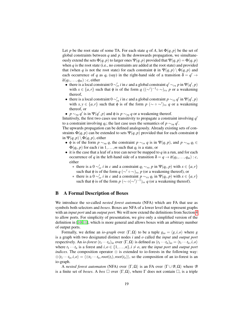Let *p* be the root state of some TA. For each state *q* of *A*, let  $\Phi(q, p)$  be the set of global constraints between  $q$  and  $p$ . In the downwards propagation, we simultaneously extend the sets  $\Phi(q, p)$  to larger ones  $\Psi(q, p)$  provided that  $\Psi(q, p) = \Phi(q, p)$ when  $q$  is the root state (i.e., no constraints are added at the root state) and provided that (when *q* is not the root state) for each constraint  $\phi$  in  $\Psi(q, p) \setminus \Phi(q, p)$  and each occurrence of *q* as  $q_i$  (say) in the right-hand side of a transition  $\delta = q' \rightarrow$  $\overline{a}(q_1,\ldots,q_m):$  *c*, either

- there is a local constraint  $0 \sim'_{rr} i$  in *c* and a global constraint  $q' \sim_{rx} p$  in  $\Psi(q', p)$ with  $x \in \{a, r\}$  such that  $\phi$  is of the form  $q((\sim')^{-1} \circ \sim)_{rx} p$  or a weakening thereof,
- there is a local constraint  $0 \sim_{rx}^{\prime} i$  in *c* and a global constraint  $p \sim_{ry} q'$  in  $\Psi(q', p)$ with  $x, y \in \{a, r\}$  such that  $\phi$  is of the form  $p \sim \infty$ ,  $\gamma_{rx} q$  or a weakening thereof, or
- $p \sim_{ra} q'$  is in  $\Psi(q', p)$  and  $\phi$  is  $p \sim_{ra} q$  or a weakening thereof.

Intuitively, the first two cases use transitivity to propagate a constraint involving  $q'$ to a constraint involving  $q_i$ ; the last case uses the semantics of  $p \sim_{ra} q'$ .

The upwards propagation can be defined analogously. Already existing sets of constraints  $\Phi(q, p)$  can be extended to sets  $\Psi(q, p)$  provided that for each constraint  $\phi$ in  $\Psi(q,p) \setminus \Phi(q,p)$ , either

- $\phi$  is of the form  $p \sim_{ra} q$ , the constraint  $p \sim_{rr} q$  is in  $\Psi(q, p)$ , and  $p \sim_{ra} q_i \in$  $\Phi(q_i, p)$  for each *i* in  $1, \ldots, m$  such that  $q_i$  is a state, or
- $\bullet$  it is the case that a leaf of a tree can never be mapped to  $q$  in a run, and for each occurrence of *q* in the left-hand side of a transition  $\delta = q \rightarrow \overline{a}(q_1,...,q_m)$ : *c*, either
	- ∗ there is a 0 ∼ $'$ <sub>*rr*</sub> *i* in *c* and a constraint  $q_i$  ∼<sub>*rx*</sub>  $p$  in  $\Psi(q_i, p)$  with  $x \in \{a, r\}$ such that φ is of the form  $q$  (∼' ∘ ∼)<sub>rx</sub> p (or a weakening thereof), or
	- ∗ there is a 0 ∼ $'$ *r i* in *c* and a constraint *p* ∼*rx q<sub>i</sub>* in Ψ(*q<sub>i</sub>*, *p*) with *x* ∈ {*a*,*r*} such that  $\phi$  is of the form  $p \ (\sim \circ (\sim')^{-1})_{rr} q$  (or a weakening thereof).

#### <span id="page-20-0"></span>B A Formal Description of Boxes

We introduce the so-called *nested forest automata* (NFA) which are FA that use as symbols both selectors and *boxes*. Boxes are NFA of a lower level that represent graphs with an *input port* and an *output port*. We will now extend the definitions from Section [4](#page-7-0) to allow ports. For simplicity of presentation, we give only a simplified version of the definition in [\[10](#page-18-0)[,11\]](#page-18-1), which is more general and allows boxes with an arbitrary number of output ports.

Formally, we define an *io-graph* over  $\langle \Gamma, \Omega \rangle$  to be a tuple  $g_{io} = \langle g, i, o \rangle$  where *g* is a graph with two designated distinct nodes *i* and *o* called the *input* and *output port* respectively. An *io-forest*  $(t_1 \cdots t_n)_{i_0}$  over  $\langle \Gamma, \Omega \rangle$  is defined as  $(t_1 \cdots t_n)_{i_0} = \langle t_1 \cdots t_n, i, o \rangle$ where  $t_1 \cdots t_n$  is a forest and  $i, o \in \{1, \ldots, n\}$ ,  $i \neq o$ , are the *input port* and *output port indices*. The composition operator ⊗ is extended to io-forests in the following way:  $\otimes$   $\langle t_1 \cdots t_n, i, o \rangle = \langle \otimes t_1 \cdots t_n, root(t_i), root(t_o) \rangle$ , so the composition of an io-forest is an io-graph.

A *nested forest automaton* (NFA) over  $\langle \Gamma, \Omega \rangle$  is an FA over  $\langle \Gamma \cup \mathcal{B}, \Omega \rangle$  where *B* is a finite set of *boxes*. A *box*  $\Box$  over  $\langle \Gamma, \Omega \rangle$ , where  $\Gamma$  does not contain  $\Box$ , is a triple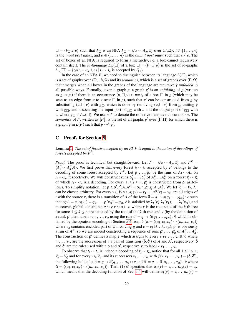$\square = \langle F_{\square}, i, o \rangle$  such that  $F_{\square}$  is an NFA  $F_{\square} = \langle A_1 \cdots A_n, \varphi \rangle$  over  $\langle \Gamma, \Omega \rangle$ ,  $i \in \{1, \ldots, n\}$ is the *input port index*, and  $o \in \{1, \ldots, n\}$  is the *output port index* such that  $i \neq o$ . The set of boxes of an NFA is required to form a hierarchy, i.e. a box cannot recursively contain itself. The *io-language*  $L_{io}(\square)$  of a box  $\square = \langle F_{\square}, i, o \rangle$  is the set of io-graphs  $L_{io}(\square) = \{ \otimes \langle t_1 \cdots t_n, i, o \rangle \mid t_1 \cdots t_n \text{ is accepted by } F_{\square} \}.$ 

In the case of an NFA  $F$ , we need to distinguish between its language  $L(F)$ , which is a set of graphs over  $\langle \Gamma \cup B, \Omega \rangle$  and its *semantics*, which is a set of graphs over  $\langle \Gamma, \Omega \rangle$ that emerges when all boxes in the graphs of the language are recursively *unfolded* in all possible ways. Formally, given a graph  $g$ , a graph  $g'$  is an *unfolding* of  $g$  (written as  $g \rightsquigarrow g'$ ) if there is an occurrence  $(u, \Box, v) \in \text{next}_g$  of a box  $\Box$  in *g* (which may be seen as an edge from *u* to *v* over  $\Box$  in *g*), such that  $g'$  can be constructed from *g* by substituting  $(u, \Box, v)$  with  $g_{\Box}$ , which is done by removing  $(u, \Box, v)$  from *g*, uniting *g* with  $g_{\Box}$ , and associating the input port of  $g_{\Box}$  with *u* and the output port of  $g_{\Box}$  with *v*, where  $g_{\Box} \in L_{io}(\Box)$ . We use  $\leadsto^*$  to denote the reflexive transitive closure of  $\leadsto$ . The *semantics* of *F*, written as  $\llbracket F \rrbracket$ , is the set of all graphs *g*' over  $\langle \Gamma, \Omega \rangle$  for which there is a graph *g* in  $L(F)$  such that  $g \rightarrow g'$ .

#### <span id="page-21-0"></span>C Proofs for Section [5](#page-9-0)

Lemma [1.](#page-14-0) *The set of forests accepted by an FA F is equal to the union of decodings of forests accepted by F<sup>E</sup> .*

*Proof.* The proof is technical but straightforward. Let  $F = \langle A_1 \cdots A_n, \varphi \rangle$  and  $F^E =$  $\langle A_1^E \cdots A_n^E, \emptyset \rangle$ . We first prove that every forest  $t_1 \cdots t_n$  accepted by *F* belongs to the decoding of some forest accepted by  $F^E$ . Let  $\rho_1, \ldots, \rho_n$  be the runs of  $A_1 \cdots A_n$  on *t*<sub>1</sub> ···*t<sub>n</sub>*, respectively. We will construct runs  $\rho'_1, \ldots, \rho'_n$  of  $A_1^E \ldots A_n^E$  on a forest  $t'_1 \cdots t'_n$ of which  $t_1 \cdots t_n$  is a decoding. For every  $1 \leq i \leq n$ ,  $\rho'_i$  is constructed from  $\rho_i$  as follows. To simplify notation, let  $\rho, t, \rho', t', A, A^E = \rho_i, t_i, \rho'_i, t'_i, A_i, A^E_i$ . We let  $V_{t'} = V_t$ .  $\lambda_{t'}$ can be chosen arbitrary. For every  $v \in V_t$  s.t.  $a_t^1(v) = v_1, \ldots, a_t^m(v) = v_m$  are all edges of *t* with the source *v*, there is a transition of *A* of the form  $\delta = q \rightarrow \overline{a}(q_1, \ldots, q_m)$ : *c* such that  $\rho(v) = q$ ,  $\rho(v_1) = q_1, \ldots, \rho(v_m) = q_m$ , *c* is satisfied by  $\lambda_t(v), \lambda_t(v_1), \ldots, \lambda_t(v_m)$ , and moreover, global constraints  $q \sim r, r \sim q \in \varphi$  where *r* is the root state of the *k*-th tree for some  $1 \leq k \leq n$  are satisfied by the root of the *k*-th tree and *v* (by the definition of a run).  $\rho'$  then labels  $v, v_1, \ldots, v_m$  using the rule  $\delta' = q \rightarrow \bar{\alpha}(q_1, \ldots, q_m)$ : 0 which is ob-tained by the opration encoding of Section [5.4](#page-13-1) from  $\delta$  ( $\bar{\alpha} = \langle (a_1, c_1, c_g) \cdots (a_m, c_m, c_g) \rangle$ where  $c_g$  contains encoded part of  $\varphi$  involving *q* and  $c = c_1 \cup \ldots \cup c_m$ ).  $\rho'$  is obviously a run of  $A^E$ , so we are indeed constructing a sequence of runs  $\rho'_1, \ldots, \rho'_n$  of  $A_1^E \ldots A_n^E$ . The construction of  $\rho'$  defines a map *f* which assigns to every  $v, v_1, \ldots, v_m \in V_t$  where  $v_1, \ldots, v_m$  are the successors of *v* a pair of transition  $(\delta, \delta')$  of *A* and *A*<sup> $\prime$ </sup>, respectively.  $\delta$ and  $\delta'$  are the rules used within  $\rho$  and  $\rho'$ , respectively, to label  $v, v_1, \ldots, v_n$ .

To observe that  $t_1 \cdots t_n$  is indeed a decoding of  $t'_1 \cdots t'_n$ , notice that for all  $1 \le i \le n$ ,  $V_{t_i} = V_{t_i}$  and for every  $v \in V_{t_i}$ , and its successors  $v_1, \ldots, v_m$  with  $f(v, v_1, \ldots, v_m) = (\delta, \delta')$ , the following holds: let  $\delta = q \to \overline{a}(q_1,\ldots,q_m)$  : *c* and  $\delta' = q \to \overline{\alpha}(q_1,\ldots,q_m)$  : 0 where  $\bar{\alpha} = \langle (a_1, c_1, c_g) \cdots (a_m, c_m, c_g) \rangle$ . Then (1) δ' specifies that  $\alpha_1(v) = v, \ldots, \alpha_m(v) = v_m$ which means that the decoding function of Sec. [5.4](#page-13-1) will define  $a_1(v) = v, \ldots, a_m(v) = v$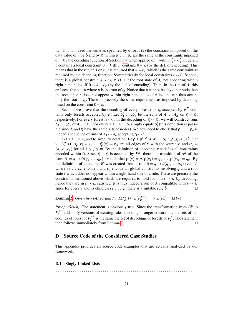$v_m$ . This is indeed the same as specified by  $\delta$  for *t*. (2) the constraints imposed on the data value of *v* by  $\delta$  and by  $\varphi$  within  $\rho_1, \ldots, \rho_n$  are the same as the constraints imposed on *v* by the decoding function of Section [5.4](#page-13-1) when applied on *v* within  $t'_1 \cdots t'_n$ . In detail, *c* contains a local constraint  $0 \sim k$  iff  $c_k$  contains  $0 \sim k$  (by the def. of encoding). This means that in the run of *A* on *t*, it is required that  $v \sim v_k$ , which is the same constraint as required by the decoding function. Symmetrically for local constraints *k* ∼ 0. Second, there is a global constrain  $q \sim r \in \varphi$  s.t. *r* it the root state of  $A_k$  not appearing within right-hand sides iff 0 ∼ *k* ∈ *c<sup>g</sup>* (by the def. of encoding). Then, in the run of *A*, this enforces that *v* ∼ *u* where *u* is the root of  $t_k$ . Notice that *u* cannot be any other node then the root since  $r$  does not appear within right-hand sides of rules and can thus accept only the root of  $t_k$ . These is precisely the same requirement as imposed by decoding based on the constraint 0 ∼ *k*.

Second, we prove that the decoding of every forest  $t'_1 \cdots t'_n$  accepted by  $F^E$  contains only forests accepted by *F*. Let  $\rho'_1, \ldots, \rho'_n$  be the runs of  $A_1^E \ldots A_n^E$  on  $t'_1 \cdots t'_n$ , respectively. For every forest  $t_1 \cdots t_n$  in the decoding of  $t'_1 \cdots t'_n$ , we will construct runs  $\rho_1, \ldots, \rho_n$  of  $A_1 \ldots A_n$ . For every  $1 \leq i \leq n$ ,  $\rho_i$  simply equals  $\rho'_i$  (this definition is possible since  $t_i$  and  $t'_i$  have the same sets of nodes). We now need to check that  $\rho_1, \ldots, \rho_n$  is indeed a sequence of runs of  $A_1 \cdots A_n$  accepting  $t_1 \cdots t_n$ .

Let  $1 \le i \le n$ , and to simplify notation, let  $\rho, t, \rho', t', A, A^E = \rho_i, t_i, \rho'_i, t'_i, A_i, A^E_i$ . Let  $v \in V_t'$  s.t.  $\alpha_{t'}^1(v) = v_1, \ldots \alpha_{t'}^m(v) = v_m$  are all edges of *t*' with the source *v*, and  $\alpha_j =$  $(a_j, c_j, c_g)$  for all  $1 \leq j \leq m$ . By the definition of decoding, *v* satisfies all constraints encoded within  $\bar{\alpha}$ . Since  $t'_1 \cdots t'_n$  is accepted by  $F^E$ , there is a transition of  $A^E$  of the form  $\delta' = q \rightarrow \bar{\alpha}(q_1, \ldots, q_m)$ :  $\bar{\theta}$  such that  $\rho'(v) = q$ ,  $\rho(v_1) = q_1, \ldots, \rho'(v_m) = q_m$ . By the definition of encoding,  $\delta'$  was created from a rule  $\delta = q \rightarrow \overline{a}(q_1,...,q_m)$ : *c* of *A* where  $c_1, \ldots, c_m$  encode *c* and  $c_g$  encode all global constraints involving *q* and a root state *r* which does not appear within a right-hand side of a rule. These are precisely the constraints mentioned above which are required to hold for *v* in  $t_1 \cdots t_n$  by decoding, hence they are in  $t_1 \cdots t_n$  satisfied.  $\rho$  is thus indeed a run of *A* compatible with  $t_1 \cdots t_n$ since for every *v* and its children  $v_1, \ldots, v_m$ , there is a suitable rule  $\delta$ .

**Lemma [2.](#page-15-1)** *Given two FAs F<sub><i>A*</sub> and F<sub>B</sub>,  $L(F_A^E) \subseteq L(F_B^{E^+}) \implies L(F_A) \subseteq L(F_B)$ 

*Proof* (sketch). The statement is obviously true. Since the transformation from  $F_2^E$  to  $F_2^{E^+}$  $2^{2^{L}}$  adds only versions of existing rules encoding stronger constraints, the sets of decodings of forest of  $F_2^{E^+}$  $E_2^{E^+}$  is the same the set of decodings of forests of  $F_2^E$ . The statement then follows immediately from Lemma [1.](#page-14-0)  $\Box$ 

#### <span id="page-22-0"></span>D Source Code of the Considered Case Studies

This appendix provides all source code examples that are actually analyzed by our framework.

#### D.1 Singly-Linked Lists

/\*\*\*\*\*\*\*\*\*\*\*\*\*\*\*\*\*\*\*\*\*\*\*\*\*\*\*\*\*\*\*\*\*\*\*\*\*\*\*\*\*\*\*\*\*\*\*\*\*\*\*\*\*\*\*\*\*\*\*\*\*\*\*\*\*\*\*\*\*\*\*\*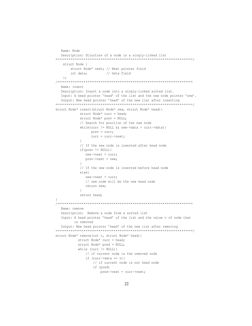```
Name: Node
  Description: Structure of a node in a singly-linked list
struct Node {
      struct Node* next; // Next pointer field
                    // Data field
      int data;
   \};
Name: insert
  Description: Insert a node into a singly-linked sorted list.
  Input: A head pointer 'head' of the list and the new node pointer 'new'.
  Output: New head pointer 'head' of the new list after inserting
struct Node* insert (struct Node* new, struct Node* head) {
          struct Node* curr = head;
          struct Node* prev = NULL;
          // Search for position of the new node
          while(curr != NULL && new->data > curr->data){
               prev = curr;curr = curr \rightarrow next;\rightarrow// If the new node is inserted after head node
          if (prev != NULL) {
            new \rightarrow next = curr;prev\rightarrow next = new;\rightarrow// If the new node is inserted before head node
          elsefnew \rightarrow next = curr;// new node will be the new head node
            return new;
          \rightarrowreturn head;
\rightarrowName: remove
  Description: Remove a node from a sorted list
  Input: A head pointer 'head' of the list and the value v of node that
       is removed
  Output: New head pointer 'head' of the new list after removing
struct Node* remove(int v, struct Node* head){
         struct Node* curr = head;
         struct Node* pred = NULL;
         while (curr != NULL) {
             // if current node is the removed node
             if (curr-\lambda) == v) {
                // if current node is not head node
                if (pred)
                   pred->next = curr->next;
```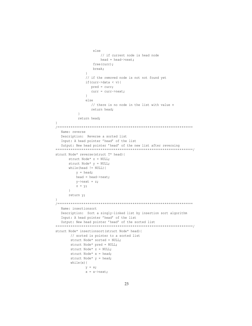```
else
                   // if current node is head node
                   head = head \rightarrow next;free(curr);
                break;
             \rightarrow// if the removed node is not not found yet
             if(curr->data < v){
               pred = curr;curr = curr \rightarrow next;\rightarrowelse
               // there is no node in the list with value v
               return head;
         \}return head;
\rightarrowName: reverse
  Description: Reverse a sorted list
  Input: A head pointer 'head' of the list
  Output: New head pointer 'head' of the new list after reversing
struct Node* reverse(struct T* head){
     struct Node* z = NULL;struct Node* y = NULL;
     while (head != NULL) {
        y = head;head = head \rightarrow next;y \rightarrow next = z;z = y;\}return y;
Name: insertionsort
  Description: Sort a singly-linked list by insertion sort algorithm
  Input: A head pointer 'head' of the list
  Output: New head pointer 'head' of the sorted list
struct Node* insertionsort (struct Node* head) {
      // sorted is pointer to a sorted list
      struct Node* sorted = NULL;
      struct Node* pred = NULL;
      struct Node* z = NULL;struct Node* x = head;struct Node* y = head;
      while (x) {
             y = x;x = x->next;
```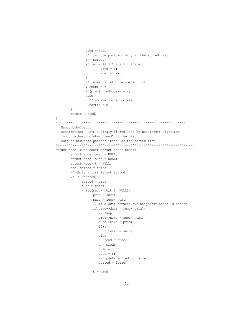```
pred = NULL;// find the position of y in the sorted list
             z = sorted;while (z && y->data > z->data){
                    pred = z;z = z->next;
              \mathcal{E}// insert y into the sorted list
             y->next = z;
             if(pred) pred->next = y;
             else
               // update sorted pointer
               sorted = y;\}return sorted;
\}Name: bubblesort
  Description: Sort a singly-linked list by bubblesort algorithm
  Input: A head pointer 'head' of the list
  Output: New head pointer 'head' of the sorted list
struct Node* bubblesort (struct Node* head) {
      struct Node* pred = NULL;
      struct Node* succ = NULL;
      struct Node* t = NULL;bool sorted = false;
      // while a list is not sorted
      while(!sorted){
           sorted = true;succ = head;
            while(succ->next != NULL){
                 pred = succ;succ = succ->next;// if a swap between two neighbour nodes is needed
                 if(pred->data > succ->data){
                   // swap
                   pred->next = succ->next;
                   succ->next = pred;
                   if(t)
                     t->next = succ;
                   else
                     head = succ;t = pred;pred = succ;succ = t;
                   // update sorted to false
                   sorted = false;t = pred;
```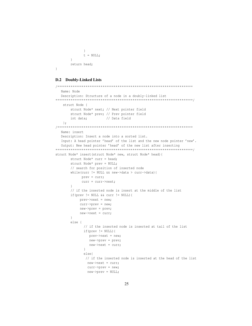```
\rightarrowt = NULL;\left\{\right.return head;
\}
```
#### D.2 Doubly-Linked Lists

```
Name: Node
  Description: Structure of a node in a doubly-linked list
struct Node {
       struct Node* next; // Next pointer field
      struct Node* prev; // Prev pointer field
      int data;
                      // Data field
   \};
Name: insert
  Description: Insert a node into a sorted list.
  Input: A head pointer 'head' of the list and the new node pointer 'new'.
  Output: New head pointer 'head' of the new list after inserting
struct Node* insert (struct Node* new, struct Node* head) {
      struct Node* curr = head;
      struct Node* prev = NULL;
      // search for position of inserted node
      while(curr != NULL && new->data > curr->data){
            prev = curr;curr = curr \rightarrow next;\left\{ \begin{array}{c} 1 \\ 1 \end{array} \right.// if the inserted node is insert at the middle of the list
      if (prev != NULL && curr != NULL) {
           prev\rightarrow next = new;curr \rightarrow prev = new;new \rightarrow prev = prev;new \rightarrow next = curr;\}else {
             // if the inserted node is inserted at tail of the list
             if (prev != NULL) {
               prev\rightarrow next = new;new \rightarrow prev = prev;new \rightarrow next = curr;\}else{
              // if the inserted node is inserted at the head of the list
               new\rightarrow next = curr;curr->prev = new;
               new \rightarrow prev = NULL;
```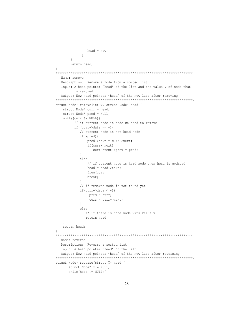```
head = new;\rightarrow\bigg\}return head;
\rightarrowName: remove
  Description: Remove a node from a sorted list
  Input: A head pointer 'head' of the list and the value v of node that
        is removed
  Output: New head pointer 'head' of the new list after removing
struct Node* remove(int v, struct Node* head){
   struct Node* curr = head;
   struct Node* pred = NULL;
   while (curr != NULL) {
        // if current node is node we need to remove
        if (curr-\lambda) == v) {
           // current node is not head node
           if (pred) {
              pred->next = curr->next;
              if(curr->next)
                curr->next->prev = pred;
           \left\{ \right\}else
              // if current node is head node then head is updated
              head = head \rightarrow next;free (curr);
             break;
           \overline{\phantom{a}}// if removed node is not found yet
           if(curr>\ndata < v) {
              pred = curr;curr = curr \rightarrow next;\}else
             // if there is node node with value v
             return head;
   \}return head;
\}Name: reverse
  Description: Reverse a sorted list
  Input: A head pointer 'head' of the list
  Output: New head pointer 'head' of the new list after reversing
struct Node* reverse(struct T* head){
     struct Node* x = NULL;while (head != NULL) {
```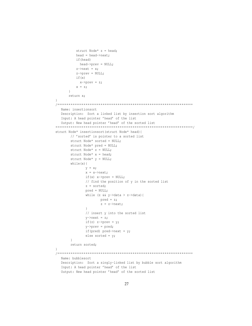```
struct Node* z = head;head = head \rightarrow next;if (head)
          head \rightarrow prev = NULL;z->next = x;
         z->prev = NULL;
         if(x)x \rightarrow prev = z;X = Z_i\left\{ \right.return x;
\overline{\phantom{a}}Name: insertionsort
  Description: Sort a linked list by insertion sort algorithm
  Input: A head pointer 'head' of the list
  Output: New head pointer 'head' of the sorted list
       *******
struct Node* insertionsort (struct Node* head) {
      // 'sorted' is pointer to a sorted list
       struct Node* sorted = NULL;
       struct Node* pred = NULL;
       struct Node* z = NULL;struct Node* x = head;
       struct Node* y = NULL;while (x) {
              y = x;x = x \rightarrow next;if (x) x->prev = NULL;
              // find the position of y in the sorted list
              z = sorted;pred = NULL;while (z && y->data > z->data){
                     pred = z;z = z->next;
              \}// insert y into the sorted list
              y->next = z;
              if(z) z->prev = y;
              y->prev = pred;
              if (pred) pred->next = y;
              else sorted = y;
       \left\{ \right.return sorted;
\rightarrowName: bubblesort
  Description: Sort a singly-linked list by bubble sort algorithm
  Input: A head pointer 'head' of the list
  Output: New head pointer 'head' of the sorted list
```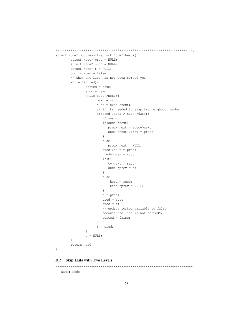```
struct Node* bubblesort (struct Node* head) {
       struct Node* pred = NULL;
       struct Node* succ = NULL;
       struct Node* t = NULL;bool sorted = false;
       // when the list has not been sorted yet
       while(!sorted){
               sorted = true;succ = head;while(succ->next){
                    pred = succ;succ = succ->next;
                    // if its needed to swap two neighbour nodes
                    if(pred->data > succ->data){
                       // swap
                       if(succ->next){
                          pred->next = succ->next;
                          succ->next->prev = pred;
                       \overline{\phantom{a}}elsepred->next = NULL;
                       succ->next = pred;
                       pred->prev = succ;
                       if(t){
                          t->next = succ;
                          succ->prev = t;
                       \}else{
                          head = succ;head->prev = NULL;
                       \}t = pred;pred = succ;succ = t;
                       /* update sorted variable to false
                       because the list is not sorted*/
                       sorted = false;\left\{ \right.t = pred;\}t = NULL;\}return head;
\}
```
#### D.3 Skip Lists with Two Levels

 $7************$ Name: Node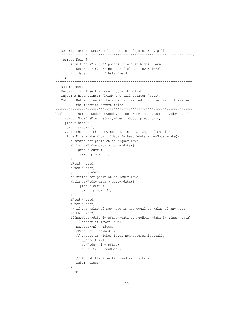```
Description: Structure of a node in a 2-pointer skip list
struct Node {
      struct Node* n1; // pointer field at higher level
      struct Node* n2 // pointer field at lower level
                   // Data field
      int data;
   \cdotName: insert
  Description: Insert a node into a skip list.
  Input: A head pointer 'head' and tail pointer 'tail'.
  Output: Return true if the node is inserted into the list, otherwise
        the function return false
bool insert (struct Node* newNode, struct Node* head, struct Node* tail) {
    struct Node* sPred, sSucc, mPred, mSucc, pred, curr;
    pred = head;curr = pred->n1;// in the case that new node is in data range of the list
    if (newNode->data < tail->data && head->data < newNode->data) {
      // search for position at higher level
      while(newNode->data > curr->data){
          pred = curr;curr = pred->n1;\left\{ \right.sPred = pred;sSucc = curr;curr = pred->n2;// search for position at lower level
      while(newNode->data > curr->data){
           pred = curr;curr = pred->n2;\left\{ \right.mPred = pred;mSucc = curr;/* if the value of new node is not equal to value of any node
       in the list*/
       if(newNode->data != mSucc->data && newNode->data != sSucc->data){
         // insert at lower level
         newNode->n2 = mSucc;mPred->n2 = newNode;// insert at higher level non-deterministically
         if (\underline{\hspace{1cm}} \text{nondet} () )newNode \rightarrow n1 = sSucc;sPred->n1 = newNode;\rightarrow// finish the inserting and return true
         return true;
       \bigg\}else
```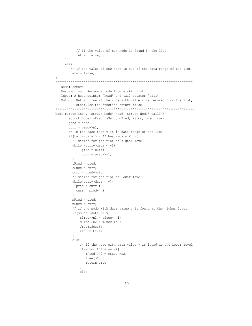```
// if the value of new node is found in the list
          return false;
    \}else
       // if the value of new node is out of the data range of the list
       return false;
\rightarrowName: remove
  Description: Remove a node from a skip list
  Input: A head pointer 'head' and tail pointer 'tail'.
  Output: Return true if the node with value v is removed from the list,
         otherwise the function return false
bool remove(int v, struct Node* head, struct Node* tail) {
      struct Node* sPred, sSucc, mPred, mSucc, pred, curr;
      pred = head;curr = pred->n1;// in the case that v is in data range of the list
      if(tail->data > v && head->data < v){
        // search for position at higher level
        while (curr->data < v) {
            pred = curr;curr = pred->n1;\overline{\phantom{a}}sPred = pred;sSucc = curr;curr = pred->n2;// search for position at lower level
        while(curr->data < v){
         pred = curr;curr = pred->n2;
        \lambdamPred = pred;mSucc = curr;// if the node with data value v is found at the higher level
        if(sSucc->data == v){
           sPred->n1 = sSucc->n1;mPred->n2 = mSucc->n2;free (sSucc);
           return true;
        \left\{ \right.else{
            // if the node with data value v is found at the lower level
           if (mSucc->data == v) {
              mPred->n2 = mSucc->n2;free(mSucc);
              return true;
            \}else
```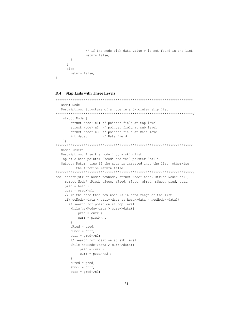```
// if the node with data value v is not found in the list
                       return false;
           \left\{ \right\}\mathcal{E}else
          return false;
\overline{\phantom{a}}
```
#### D.4 Skip Lists with Three Levels

```
Name: Node
  Description: Structure of a node in a 3-pointer skip list
struct Node {
     struct Node* n1; // pointer field at top level
     struct Node* n2 // pointer field at sub level
     struct Node* n3 // pointer field at main level
                // Data field
      int data;
   \};
Name: insert
  Description: Insert a node into a skip list.
  Input: A head pointer 'head' and tail pointer 'tail'.
  Output: Return true if the node is inserted into the list, otherwise
       the function return false
bool insert (struct Node* newNode, struct Node* head, struct Node* tail) {
   struct Node* tPred, tSucc, sPred, sSucc, mPred, mSucc, pred, curr;
   pred = head;
   curr = pred->n1;// in the case that new node is in data range of the list
   if(newNode->data < tail->data && head->data < newNode->data){
     // search for position at top level
      while(newNode->data > curr->data){
         pred = curr;curr = pred->n1;\left\{ \right.tPred = pred;tSucc = curr;curr = pred->n2;// search for position at sub level
      while(newNode->data > curr->data){
          pred = curr;curr = pred->n2 ;
      \left\{ \right.sPred = pred;sSucc = curr;curr = pred \rightarrow n3;
```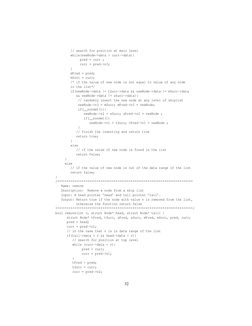```
// search for position at main level
       while(newNode->data > curr->data){
            pred = curr;curr = pred->n3;\left\{ \right.mPred = pred;mSucc = curr;/* if the value of new node is not equal to value of any node
       in the list*/
       if(newNode->data != tSucc->data && newNode->data != mSucc->data
          && newNode->data != sSucc->data) {
           // randomly insert the new node at any level of skiplist
           newNode->n3 = mSucc; mPred->n3 = newNode;if (\underline{\hspace{2cm}} nondet () ) {
             newNode->n2 = sSucc; sPred->n2 = newNode;if (\underline{\hspace{.3cm}}\text{nondet}()newNode->n1 = tSucc; tPred->n1 = newNode ;
           \rightarrow// finish the inserting and return true
          return true;
       \}else
          // if the value of new node is found in the list
          return false;
    \left\{ \right.else
       // if the value of new node is out of the data range of the list
       return false;
\mathcal{E}Name: remove
  Description: Remove a node from a skip list
  Input: A head pointer 'head' and tail pointer 'tail'.
  Output: Return true if the node with value v is removed from the list,
         otherwise the function return false
bool remove(int v, struct Node* head, struct Node* tail) {
     struct Node* tPred, tSucc, sPred, sSucc, mPred, mSucc, pred, curr;
     pred = head;curr = pred->n1;// in the case that v is in data range of the list
     if(tail->data > v && head->data < v){
        // search for position at top level
        while (curr->data < v) {
             pred = curr;curr = pred->n1;\rightarrowtPred = pred;tSucc = curr;curr = pred->n2;
```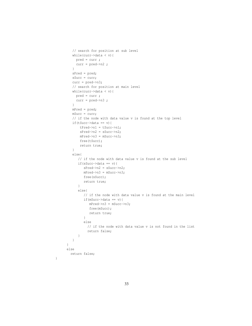```
// search for position at sub level
   while(curr->data < v){
    pred = curr ;
    curr = pred->n2 ;
   }
   sPred = pred;
   sSucc = curr;
   curr = pred->n3;
   // search for position at main level
   while(curr->data < v){
    pred = curr ;
    curr = pred->n3 ;
   }
   mPred = pred;
  mSucc = curr;
   // if the node with data value v is found at the top level
   if(tSucc->data == v){
       tPred->n1 = tSucc->n1;sPred->n2 = sSucc->n2;
      mPred->n3 = mSucc->n3;free(tSucc);
       return true;
   }
   else{
     // if the node with data value v is found at the sub level
      if(sSucc->data == v){
        sPred->n2 = sSucc->n2;
         mPred->n3 = mSucc->n3;free(sSucc);
         return true;
      }
      else{
         // if the node with data value v is found at the main level
         if(mSucc->data == v){
           mPred->n3 = mSucc->n3;free(mSucc);
           return true;
         }
         else
          // if the node with data value v is not found in the list
          return false;
      }
   }
}
else
 return false;
```
}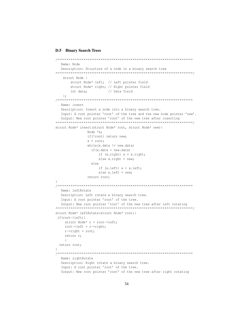#### **D.5** Binary Search Trees

```
Name: Node
 Description: Structure of a node in a binary search tree
struct Node {
     struct Node* left; // Left pointer field
     struct Node* right; // Right pointer field
     int data;
                   // Data field
  \};
Name: insert
 Description: Insert a node into a binary search tree.
 Input: A root pointer 'root' of the tree and the new node pointer 'new'.
 Output: New root pointer 'root' of the new tree after inserting
struct Node* insert(struct Node* root, struct Node* new){
           Node *_{X};
           if (!root) return new;
           x = root;while (x.data != new.data)if(x.data \le new.data)if (x.right) x = x.right;else x.right = new;else
               if (x.left) x = x.left;else x.\text{left} = new;return root;
Name: leftRotate
 Description: Left rotate a binary search tree.
 Input: A root pointer 'root' of the tree.
 Output: New root pointer 'root' of the new tree after left rotating
struct Node* leftRotate(struct Node* root){
if(root->left){
   struct Node* r = root->left;
   root->left = r->right;
  r->right = root;
  return r;
  \Boxreturn root;
Name: rightRotate
 Description: Right rotate a binary search tree.
 Input: A root pointer 'root' of the tree.
 Output: New root pointer 'root' of the new tree after right rotating
```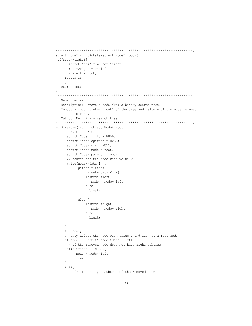```
struct Node* rightRotate(struct Node* root){
if(root->right) {
     struct Node* r = root \rightarrow right;root \rightarrow right = r \rightarrow left;r->left = root;
    return r;
 return root;
\rightarrowName: remove
  Description: Remove a node from a binary search tree.
  Input: A root pointer 'root' of the tree and value v of the node we need
       to remove
  Output: New binary search tree
void remove(int v, struct Node* root){
     struct Node* t;
     struct Node* right = NULL;
     struct Node* sparent = NULL;
     struct Node* min = NULL;struct Node* node = root;
     struct Node* parent = root;
     // search for the node with value v
     while(node->data != v) {
          parent = node;if (parent->data < v) {
             if(node->left)
                node = node - \text{left};else
               break;
          \mathcal{V}else {
             if(node->right)
               node = node->right;else
              break;
          \}\}t = node;// only delete the node with value v and its not a root node
    if(node != root && node->data == v){
    // if the removed node does not have right subtree
    if(t->right == NULL) {
         node = node -left;free(t);
    \rightarrowelse{
        /* if the right subtree of the removed node
```